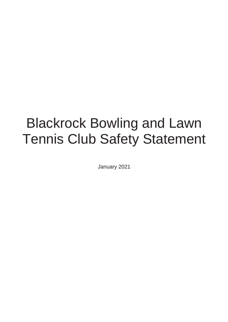# Blackrock Bowling and Lawn Tennis Club Safety Statement

January 2021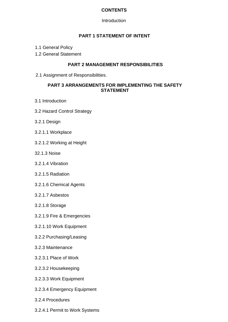#### **CONTENTS**

**Introduction** 

#### **PART 1 STATEMENT OF INTENT**

- 1.1 General Policy
- 1.2 General Statement

#### **PART 2 MANAGEMENT RESPONSIBILITIES**

2.1 Assignment of Responsibilities.

#### **PART 3 ARRANGEMENTS FOR IMPLEMENTING THE SAFETY STATEMENT**

- 3.1 Introduction
- 3.2 Hazard Control Strategy
- 3.2.1 Design
- 3.2.1.1 Workplace
- 3.2.1.2 Working at Height
- 32.1.3 Noise
- 3.2.1.4 Vibration
- 3.2.1.5 Radiation
- 3.2.1.6 Chemical Agents
- 3.2.1.7 Asbestos
- 3.2.1.8 Storage
- 3.2.1.9 Fire & Emergencies
- 3.2.1.10 Work Equipment
- 3.2.2 Purchasing/Leasing
- 3.2.3 Maintenance
- 3.2.3.1 Place of Work
- 3.2.3.2 Housekeeping
- 3.2.3.3 Work Equipment
- 3.2.3.4 Emergency Equipment
- 3.2.4 Procedures
- 3.2.4.1 Permit to Work Systems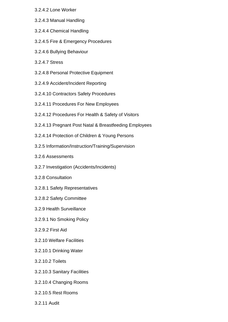- 3.2.4.2 Lone Worker
- 3.2.4.3 Manual Handling
- 3.2.4.4 Chemical Handling
- 3.2.4.5 Fire & Emergency Procedures
- 3.2.4.6 Bullying Behaviour
- 3.2.4.7 Stress
- 3.2.4.8 Personal Protective Equipment
- 3.2.4.9 Accident/Incident Reporting
- 3.2.4.10 Contractors Safety Procedures
- 3.2.4.11 Procedures For New Employees
- 3.2.4.12 Procedures For Health & Safety of Visitors
- 3.2.4.13 Pregnant Post Natal & Breastfeeding Employees
- 3.2.4.14 Protection of Children & Young Persons
- 3.2.5 Information/Instruction/Training/Supervision
- 3.2.6 Assessments
- 3.2.7 Investigation (Accidents/Incidents)
- 3.2.8 Consultation
- 3.2.8.1 Safety Representatives
- 3.2.8.2 Safety Committee
- 3.2.9 Health Surveillance
- 3.2.9.1 No Smoking Policy
- 3.2.9.2 First Aid
- 3.2.10 Welfare Facilities
- 3.2.10.1 Drinking Water
- 3.2.10.2 Toilets
- 3.2.10.3 Sanitary Facilities
- 3.2.10.4 Changing Rooms
- 3.2.10.5 Rest Rooms
- 3.2.11 Audit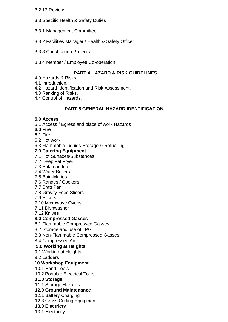#### 3.2.12 Review

- 3.3 Specific Health & Safety Duties
- 3.3.1 Management Committee
- 3.3.2 Facilities Manager / Health & Safety Officer
- 3.3.3 Construction Projects
- 3.3.4 Member / Employee Co-operation

#### **PART 4 HAZARD & RISK GUIDELINES**

- 4.0 Hazards & Risks
- 4.1 Introduction.
- 4.2 Hazard Identification and Risk Assessment.

4.3 Ranking of Risks.

4.4 Control of Hazards.

#### **PART 5 GENERAL HAZARD IDENTIFICATION**

#### **5.0 Access**

- 5.1 Access / Egress and place of work Hazards
- **6.0 Fire**
- 6.1 Fire
- 6.2 Hot work
- 6.3 Flammable Liquids-Storage & Refuelling

#### **7.0 Catering Equipment**

- 7.1 Hot Surfaces/Substances
- 7.2 Deep Fat Fryer
- 7.3 Salamanders
- 7.4 Water Boilers
- 7.5 Bain-Maries
- 7.6 Ranges / Cookers
- 7.7 Bratt Pan
- 7.8 Gravity Feed Slicers
- 7.9 Slicers
- 7.10 Microwave Ovens
- 7.11 Dishwasher
- 7.12 Knives

#### **8.0 Compressed Gasses**

- 8.1 Flammable Compressed Gasses
- 8.2 Storage and use of LPG
- 8.3 Non-Flammable Compressed Gasses
- 8.4 Compressed Air

#### **9.0 Working at Heights**

- 9.1 Working at Heights
- 9.2 Ladders

#### **10 Workshop Equipment**

- 10.1 Hand Tools
- 10.2 Portable Electrical Tools
- **11.0 Storage**
- 11.1 Storage Hazards

#### **12.0 Ground Maintenance**

- 12.1 Battery Charging
- 12.3 Grass Cutting Equipment
- **13.0 Electricty**

13.1 Electricity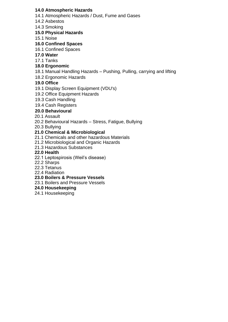#### **14.0 Atmospheric Hazards**

- 14.1 Atmospheric Hazards / Dust, Fume and Gases
- 14.2 Asbestos
- 14.3 Smoking

#### **15.0 Physical Hazards**

15.1 Noise

#### **16.0 Confined Spaces**

- 16.1 Confined Spaces
- **17.0 Water**
- 17.1 Tanks

#### **18.0 Ergonomic**

- 18.1 Manual Handling Hazards Pushing, Pulling, carrying and lifting
- 18.2 Ergonomic Hazards

#### **19.0 Office**

- 19.1 Display Screen Equipment (VDU's)
- 19.2 Office Equipment Hazards
- 19.3 Cash Handling
- 19.4 Cash Registers

#### **20.0 Behavioural**

- 20.1 Assault
- 20.2 Behavioural Hazards Stress, Fatigue, Bullying
- 20.3 Bullying

#### **21.0 Chemical & Microbiological**

- 21.1 Chemicals and other hazardous Materials
- 21.2 Microbiological and Organic Hazards
- 21.3 Hazardous Substances

#### **22.0 Health**

- 22.1 Leptospirosis (Weil's disease)
- 22.2 Sharps
- 22.3 Tetanus
- 22.4 Radiation

#### **23.0 Boilers & Pressure Vessels**

23.1 Boilers and Pressure Vessels

#### **24.0 Housekeeping**

24.1 Housekeeping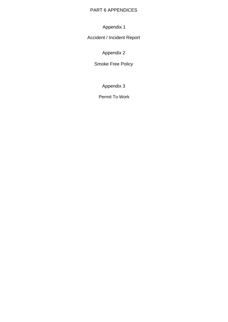#### PART 6 APPENDICES

Appendix 1

Accident / Incident Report

Appendix 2

Smoke Free Policy

Appendix 3

Permit To Work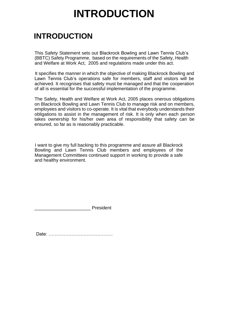# **INTRODUCTION**

# **INTRODUCTION**

This Safety Statement sets out Blackrock Bowling and Lawn Tennis Club's (BBTC) Safety Programme, based on the requirements of the Safety, Health and Welfare at Work Act, 2005 and regulations made under this act.

It specifies the manner in which the objective of making Blackrock Bowling and Lawn Tennis Club's operations safe for members, staff and visitors will be achieved. It recognises that safety must be managed and that the cooperation of all is essential for the successful implementation of the programme.

The Safety, Health and Welfare at Work Act, 2005 places onerous obligations on Blackrock Bowling and Lawn Tennis Club to manage risk and on members, employees and visitors to co-operate. It is vital that everybody understands their obligations to assist in the management of risk. It is only when each person takes ownership for his/her own area of responsibility that safety can be ensured, so far as is reasonably practicable.

I want to give my full backing to this programme and assure all Blackrock Bowling and Lawn Tennis Club members and employees of the Management Committees continued support in working to provide a safe and healthy environment.

**President** 

Date: ……………………………………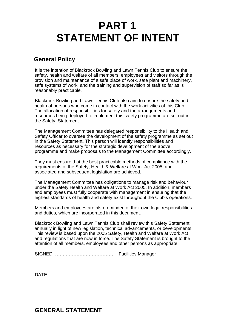# **PART 1 STATEMENT OF INTENT**

# **General Policy**

It is the intention of Blackrock Bowling and Lawn Tennis Club to ensure the safety, health and welfare of all members, employees and visitors through the provision and maintenance of a safe place of work, safe plant and machinery, safe systems of work, and the training and supervision of staff so far as is reasonably practicable.

Blackrock Bowling and Lawn Tennis Club also aim to ensure the safety and health of persons who come in contact with the work activities of this Club. The allocation of responsibilities for safety and the arrangements and resources being deployed to implement this safety programme are set out in the Safety Statement.

The Management Committee has delegated responsibility to the Health and Safety Officer to oversee the development of the safety programme as set out in the Safety Statement. This person will identify responsibilities and resources as necessary for the strategic development of the above programme and make proposals to the Management Committee accordingly.

They must ensure that the best practicable methods of compliance with the requirements of the Safety, Health & Welfare at Work Act 2005, and associated and subsequent legislation are achieved.

The Management Committee has obligations to manage risk and behaviour under the Safety Health and Welfare at Work Act 2005. In addition, members and employees must fully cooperate with management in ensuring that the highest standards of health and safety exist throughout the Club's operations.

Members and employees are also reminded of their own legal responsibilities and duties, which are incorporated in this document.

Blackrock Bowling and Lawn Tennis Club shall review this Safety Statement annually in light of new legislation, technical advancements, or developments. This review is based upon the 2005 Safety, Health and Welfare at Work Act and regulations that are now in force. The Safety Statement is brought to the attention of all members, employees and other persons as appropriate.

SIGNED: ………………………………… Facilities Manager

DATE: ……………………

**GENERAL STATEMENT**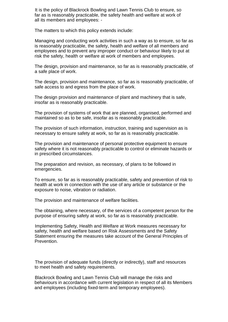It is the policy of Blackrock Bowling and Lawn Tennis Club to ensure, so far as is reasonably practicable, the safety health and welfare at work of all its members and employees: -

The matters to which this policy extends include:

Managing and conducting work activities in such a way as to ensure, so far as is reasonably practicable, the safety, health and welfare of all members and employees and to prevent any improper conduct or behaviour likely to put at risk the safety, health or welfare at work of members and employees.

The design, provision and maintenance, so far as is reasonably practicable, of a safe place of work.

The design, provision and maintenance, so far as is reasonably practicable, of safe access to and egress from the place of work.

The design provision and maintenance of plant and machinery that is safe, insofar as is reasonably practicable.

The provision of systems of work that are planned, organised, performed and maintained so as to be safe, insofar as is reasonably practicable.

The provision of such information, instruction, training and supervision as is necessary to ensure safety at work, so far as is reasonably practicable.

The provision and maintenance of personal protective equipment to ensure safety where it is not reasonably practicable to control or eliminate hazards or in prescribed circumstances.

The preparation and revision, as necessary, of plans to be followed in emergencies.

To ensure, so far as is reasonably practicable, safety and prevention of risk to health at work in connection with the use of any article or substance or the exposure to noise, vibration or radiation.

The provision and maintenance of welfare facilities.

The obtaining, where necessary, of the services of a competent person for the purpose of ensuring safety at work, so far as is reasonably practicable.

Implementing Safety, Health and Welfare at Work measures necessary for safety, health and welfare based on Risk Assessments and the Safety Statement ensuring the measures take account of the General Principles of Prevention.

The provision of adequate funds (directly or indirectly), staff and resources to meet health and safety requirements.

Blackrock Bowling and Lawn Tennis Club will manage the risks and behaviours in accordance with current legislation in respect of all its Members and employees (including fixed-term and temporary employees).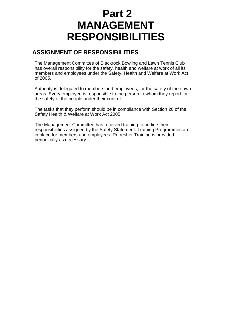# **Part 2 MANAGEMENT RESPONSIBILITIES**

# **ASSIGNMENT OF RESPONSIBILITIES**

The Management Committee of Blackrock Bowling and Lawn Tennis Club has overall responsibility for the safety, health and welfare at work of all its members and employees under the Safety, Health and Welfare at Work Act of 2005.

Authority is delegated to members and employees, for the safety of their own areas. Every employee is responsible to the person to whom they report for the safety of the people under their control.

The tasks that they perform should be in compliance with Section 20 of the Safety Health & Welfare at Work Act 2005.

The Management Committee has received training to outline their responsibilities assigned by the Safety Statement. Training Programmes are in place for members and employees. Refresher Training is provided periodically as necessary.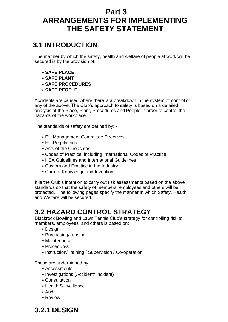# **Part 3 ARRANGEMENTS FOR IMPLEMENTING THE SAFETY STATEMENT**

# **3.1 INTRODUCTION**:

The manner by which the safety, health and welfare of people at work will be secured is by the provision of:

- **SAFE PLACE**
- **SAFE PLANT**
- **SAFE PROCEDURES**
- **SAFE PEOPLE**

Accidents are caused where there is a breakdown in the system of control of any of the above. The Club's approach to safety is based on a detailed analysis of the Place, Plant, Procedures and People in order to control the hazards of the workplace.

The standards of safety are defined by: -

- EU Management Committee Directives
- EU Regulations
- Acts of the Oireachtas
- Codes of Practice, including International Codes of Practice
- HSA Guidelines and International Guidelines
- Custom and Practice in the Industry
- Current Knowledge and Invention

It is the Club's intention to carry out risk assessments based on the above standards so that the safety of members, employees and others will be protected. The following pages specify the manner in which Safety, Health and Welfare will be secured.

# **3.2 HAZARD CONTROL STRATEGY**

Blackrock Bowling and Lawn Tennis Club's strategy for controlling risk to members, employees and others is based on;

- Design
- Purchasing/Leasing
- Maintenance
- Procedures
- Instruction/Training / Supervision / Co-operation

These are underpinned by,

- Assessments
- Investigations (Accident/ Incident)
- Consultation
- Health Surveillance
- Audit
- Review

# **3.2.1 DESIGN**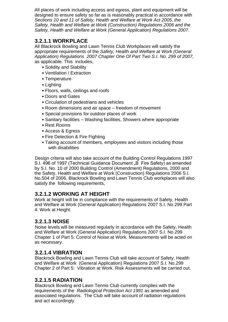All places of work including access and egress, plant and equipment will be designed to ensure safety so far as is reasonably practical in accordance with *Sections 10 and 11 of Safety, Health and Welfare at Work Act 2005, the Safety, Health and Welfare at Work (Construction) Regulations 2006 and the Safety, Health and Welfare at Work (General Application) Regulations 2007.* 

## **3.2.1.1 WORKPLACE**

All Blackrock Bowling and Lawn Tennis Club Workplaces will satisfy the appropriate requirements of the *Safety, Health and Welfare at Work (General Application) Regulations 2007 Chapter One Of Part Two S.I. No. 299 of 2007,*  as applicable*.* This includes,

- Solidity and Stability
- Ventilation / Extraction
- Temperature
- Lighting
- Floors, walls, ceilings and roofs
- Doors and Gates
- Circulation of pedestrians and vehicles
- Room dimensions and air space freedom of movement
- Special provisions for outdoor places of work
- Sanitary facilities Washing facilities, Showers where appropriate
- Rest Rooms
- Access & Egress
- Fire Detection & Fire Fighting
- Taking account of members, employees and visitors including those with disabilities

Design criteria will also take account of the Building Control Regulations 1997 S.I. 496 of 1997 (Technical Guidance Document "B Fire Safety) as amended by S.I. No. 10 of 2000 Building Control (Amendment) Regulations, 2000 and the Safety, Health and Welfare at Work (Construction) Regulations 2006 S.I. No.504 of 2006. Blackrock Bowling and Lawn Tennis Club workplaces will also satisfy the following requirements,

## **3.2.1.2 WORKING AT HEIGHT**

Work at height will be in compliance with the requirements of Safety, Health and Welfare at Work (General Application) Regulations 2007 S.I. No.299 Part 4: Work at Height.

# **3.2.1.3 NOISE**

Noise levels will be measured regularly in accordance with the Safety, Health and Welfare at Work (General Application) Regulations 2007 S.I. No.299 Chapter 1 of Part 5: Control of Noise at Work*.* Measurements will be acted on as necessary.

## **3.2.1.4 VIBRATION**

Blackrock Bowling and Lawn Tennis Club will take account of Safety, Health and Welfare at Work (General Application) Regulations 2007 S.I. No.299 Chapter 2 of Part 5: Vibration at Work. Risk Assessments will be carried out.

# **3.2.1.5 RADIATION**

Blackrock Bowling and Lawn Tennis Club currently complies with the requirements of the *Radiological Protection Act 1991* as amended and associated regulations. The Club will take account of radiation regulations and act accordingly.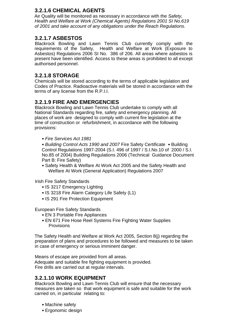# **3.2.1.6 CHEMICAL AGENTS**

Air Quality will be monitored as necessary in accordance with the *Safety, Health and Welfare at Work (Chemical Agents) Regulations 2001 SI No.619 of 2001 and take account of any obligations under the Reach Regulations.* 

## **3.2.1.7 ASBESTOS**

Blackrock Bowling and Lawn Tennis Club currently comply with the requirements of the Safety, Health and Welfare at Work (Exposure to Asbestos) Regulations 2006 SI No. 386 of 206. All areas where asbestos is present have been identified. Access to these areas is prohibited to all except authorised personnel.

## **3.2.1.8 STORAGE**

Chemicals will be stored according to the terms of applicable legislation and Codes of Practice. Radioactive materials will be stored in accordance with the terms of any license from the R.P.I.I.

## **3.2.1.9 FIRE AND EMERGENCIES**

Blackrock Bowling and Lawn Tennis Club undertake to comply with all National Standards regarding fire, safety and emergency planning. All places of work are designed to comply with current fire legislation at the time of construction or refurbishment, in accordance with the following provisions:

• *Fire Services Act 1981* 

• *Building Control Acts 1990 and 2007* Fire Safety Certificate • Building Control Regulations 1997-2004 (S.I. 496 of 1997 / S.I.No.10 of 2000 / S.I. No.85 of 2004) Building Regulations 2006 (Technical Guidance Document Part B: Fire Safety)

• Safety Health & Welfare At Work Act 2005 and the Safety Health and Welfare At Work (General Application) Regulations 2007

Irish Fire Safety Standards

- IS 3217 Emergency Lighting
- IS 3218 Fire Alarm Category Life Safety (L1)
- IS 291 Fire Protection Equipment

European Fire Safety Standards

- EN 3 Portable Fire Appliances
- EN 671 Fire Hose Reel Systems Fire Fighting Water Supplies **Provisions**

The Safety Health and Welfare at Work Act 2005, Section 8(j) regarding the preparation of plans and procedures to be followed and measures to be taken in case of emergency or serious imminent danger.

Means of escape are provided from all areas. Adequate and suitable fire fighting equipment is provided. Fire drills are carried out at regular intervals.

## **3.2.1.10 WORK EQUIPMENT**

Blackrock Bowling and Lawn Tennis Club will ensure that the necessary measures are taken so that work equipment is safe and suitable for the work carried on, in particular relating to:

- Machine safety
- Ergonomic design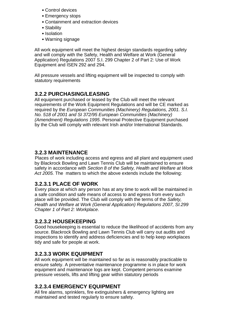- Control devices
- Emergency stops
- Containment and extraction devices
- Stability
- Isolation
- Warning signage

All work equipment will meet the highest design standards regarding safety and will comply with the Safety, Health and Welfare at Work (General Application) Regulations 2007 S.I. 299 Chapter 2 of Part 2: Use of Work Equipment and ISEN 292 and 294.

All pressure vessels and lifting equipment will be inspected to comply with statutory requirements

## **3.2.2 PURCHASING/LEASING**

All equipment purchased or leased by the Club will meet the relevant requirements of the Work Equipment Regulations and will be CE marked as required by the *European Communities (Machinery) Regulations, 2001. S.I. No. 518 of 2001 and SI 372/95 European Communities (Machinery) (Amendment) Regulations 1995*. Personal Protective Equipment purchased by the Club will comply with relevant Irish and/or International Standards.

## **3.2.3 MAINTENANCE**

Places of work including access and egress and all plant and equipment used by Blackrock Bowling and Lawn Tennis Club will be maintained to ensure safety in accordance with *Section 8 of the Safety, Health and Welfare at Work Act 2005.* The matters to which the above extends include the following:

#### **3.2.3.1 PLACE OF WORK**

Every place at which any person has at any time to work will be maintained in a safe condition and safe means of access to and egress from every such place will be provided. The Club will comply with the terms of the *Safety, Health and Welfare at Work (General Application) Regulations 2007, SI.299 Chapter 1 of Part 2: Workplace*.

#### **3.2.3.2 HOUSEKEEPING**

Good housekeeping is essential to reduce the likelihood of accidents from any source. Blackrock Bowling and Lawn Tennis Club will carry out audits and inspections to identify and address deficiencies and to help keep workplaces tidy and safe for people at work.

#### **3.2.3.3 WORK EQUIPMENT**

All work equipment will be maintained so far as is reasonably practicable to ensure safety. A preventative maintenance programme is in place for work equipment and maintenance logs are kept. Competent persons examine pressure vessels, lifts and lifting gear within statutory periods

## **3.2.3.4 EMERGENCY EQUIPMENT**

All fire alarms, sprinklers, fire extinguishers & emergency lighting are maintained and tested regularly to ensure safety.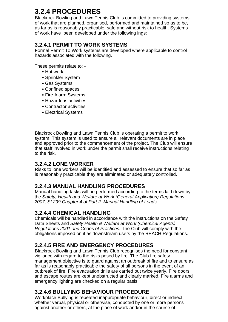# **3.2.4 PROCEDURES**

Blackrock Bowling and Lawn Tennis Club is committed to providing systems of work that are planned, organised, performed and maintained so as to be, as far as is reasonably practicable, safe and without risk to health. Systems of work have been developed under the following ings:

# **3.2.4.1 PERMIT TO WORK SYSTEMS**

Formal Permit To Work systems are developed where applicable to control hazards associated with the following.

These permits relate to: -

- Hot work
- Sprinkler System
- Gas Systems
- Confined spaces
- Fire Alarm Systems
- Hazardous activities
- Contractor activities
- Electrical Systems

Blackrock Bowling and Lawn Tennis Club is operating a permit to work system. This system is used to ensure all relevant documents are in place and approved prior to the commencement of the project. The Club will ensure that staff involved in work under the permit shall receive instructions relating to the risk.

## **3.2.4.2 LONE WORKER**

Risks to lone workers will be identified and assessed to ensure that so far as is reasonably practicable they are eliminated or adequately controlled.

# **3.2.4.3 MANUAL HANDLING PROCEDURES**

Manual handling tasks will be performed according to the terms laid down by the *Safety, Health and Welfare at Work (General Application) Regulations 2007, SI.299 Chapter 4 of Part 2: Manual Handling of Loads*.

# **3.2.4.4 CHEMICAL HANDLING**

Chemicals will be handled in accordance with the instructions on the Safety Data Sheets and *Safety Health & Welfare at Work (Chemical Agents) Regulations 2001 and Codes of Practices.* The Club will comply with the obligations imposed on it as downstream users by the REACH Regulations.

# **3.2.4.5 FIRE AND EMERGENCY PROCEDURES**

Blackrock Bowling and Lawn Tennis Club recognises the need for constant vigilance with regard to the risks posed by fire. The Club fire safety management objective is to guard against an outbreak of fire and to ensure as far as is reasonably practicable the safety of all persons in the event of an outbreak of fire. Fire evacuation drills are carried out twice yearly. Fire doors and escape routes are kept unobstructed and clearly marked. Fire alarms and emergency lighting are checked on a regular basis.

# **3.2.4.6 BULLYING BEHAVIOUR PROCEDURE**

Workplace Bullying is repeated inappropriate behaviour, direct or indirect, whether verbal, physical or otherwise, conducted by one or more persons against another or others, at the place of work and/or in the course of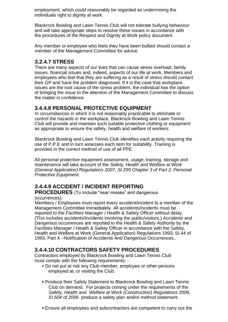employment, which could reasonably be regarded as undermining the individuals right to dignity at work.

Blackrock Bowling and Lawn Tennis Club will not tolerate bullying behaviour and will take appropriate steps to resolve these issues in accordance with the procedures of the Respect and Dignity at Work policy document.

Any member or employee who feels they have been bullied should contact a member of the Management Committee for advice.

## **3.2.4.7 STRESS**

There are many aspects of our lives that can cause stress overload, family issues, financial issues and, indeed, aspects of our life at work. Members and employees who feel that they are suffering as a result of stress should contact their GP and have the problem diagnosed. If it is the case that workplace issues are the root cause of the stress problem, the individual has the option of bringing the issue to the attention of the Management Committee to discuss the matter in confidence.

### **3.4.4.8 PERSONAL PROTECTIVE EQUIPMENT**

In circumstances in which it is not reasonably practicable to eliminate or control the hazards in the workplace, Blackrock Bowling and Lawn Tennis Club will provide and maintain such suitable protective clothing or equipment as appropriate to ensure the safety, health and welfare of workers.

Blackrock Bowling and Lawn Tennis Club identifies each activity requiring the use of P.P.E and in turn assesses each item for suitability. Training is provided in the correct method of use of all PPE.

All personal protective equipment assessment, usage, training, storage and maintenance will take account of the *Safety, Health and Welfare at Work (General Application) Regulations 2007, SI.299 Chapter 3 of Part 2: Personal Protective Equipment*.

# **3.4.4.9 ACCIDENT / INCIDENT REPORTING**

#### **PROCEDURES** (To include "near misses" and dangerous occurrences).

Members / Employees must report every accident/incident to a member of the Management Committee immediately. All accidents/incidents must be reported to the Facilities Manager / Health & Safety Officer without delay. (This includes accidents/Incidents involving the public/visitors.) Accidents and Dangerous occurrences are reported to the Health & Safety Authority by the Facilities Manager / Health & Safety Officer in accordance with the Safety, Health and Welfare at Work (General Application) Regulations 1993, SI.44 of 1993, Part X –Notification of Accidents And Dangerous Occurrences.*.* 

## **3.4.4.10 CONTRACTORS SAFETY PROCEDURES**

Contractors employed by Blackrock Bowling and Lawn Tennis Club must comply with the following requirements: -

- Do not put at risk any Club member, employee or other persons employed at, or visiting the Club.
- Produce their Safety Statement to Blackrock Bowling and Lawn Tennis Club on demand. For projects coming under the requirements of the *Safety, Health and Welfare at Work (Construction) Regulations 2006, SI 504 of 2006* produce a safety plan and/or method statement.
- Ensure all employees and subcontractors are competent to carry out the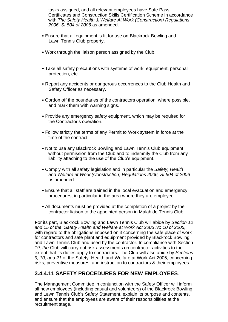tasks assigned, and all relevant employees have Safe Pass Certificates and Construction Skills Certification Scheme in accordance with *The Safety Health & Welfare At Work (Construction) Regulations 2006, SI 504 of 2006* as amended.

- Ensure that all equipment is fit for use on Blackrock Bowling and Lawn Tennis Club property.
- Work through the liaison person assigned by the Club.
- Take all safety precautions with systems of work, equipment, personal protection, etc.
- Report any accidents or dangerous occurrences to the Club Health and Safety Officer as necessary.
- Cordon off the boundaries of the contractors operation, where possible, and mark them with warning signs.
- Provide any emergency safety equipment, which may be required for the Contractor's operation.
- Follow strictly the terms of any Permit to Work system in force at the time of the contract.
- Not to use any Blackrock Bowling and Lawn Tennis Club equipment without permission from the Club and to indemnify the Club from any liability attaching to the use of the Club's equipment.
- Comply with all safety legislation and in particular the *Safety, Health and Welfare at Work (Construction) Regulations 2006, SI 504 of 2006*  as amended
- Ensure that all staff are trained in the local evacuation and emergency procedures, in particular in the area where they are employed.
- All documents must be provided at the completion of a project by the contractor liaison to the appointed person in Malahide Tennis Club

For its part, Blackrock Bowling and Lawn Tennis Club will abide by *Section 12 and 15 of the Safety Health and Welfare at Work Act 2005 No 10 of 2005,*  with regard to the obligations imposed on it concerning the safe place of work for contractors and safe plant and equipment provided by Blackrock Bowling and Lawn Tennis Club and used by the contractor. In compliance with Section *19, the* Club will carry out risk assessments on contractor activities to the extent that its duties apply to contractors. The Club will also abide by *Sections 9, 10, and 21* of the Safety Health and Welfare at Work Act 2005, concerning risks, preventive measures and instruction to contractors & their employees.

# **3.4.4.11 SAFETY PROCEDURES FOR NEW EMPLOYEES**.

The Management Committee in conjunction with the Safety Officer will inform all new employees (including casual and volunteers) of the Blackrock Bowling and Lawn Tennis Club's Safety Statement, explain its purpose and contents, and ensure that the employees are aware of their responsibilities at the recruitment stage.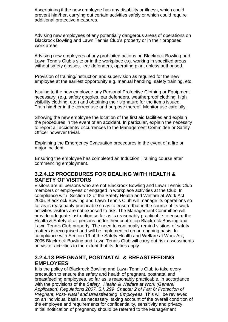Ascertaining if the new employee has any disability or illness, which could prevent him/her, carrying out certain activities safely or which could require additional protective measures.

Advising new employees of any potentially dangerous areas of operations on Blackrock Bowling and Lawn Tennis Club's property or in their proposed work areas.

Advising new employees of any prohibited actions on Blackrock Bowling and Lawn Tennis Club's site or in the workplace e.g. working in specified areas without safety glasses, ear defenders, operating plant unless authorised.

Provision of training/instruction and supervision as required for the new employee at the earliest opportunity e.g. manual handling, safety training, etc.

Issuing to the new employee any Personal Protective Clothing or Equipment necessary, (e.g. safety goggles, ear defenders, weatherproof clothing, high visibility clothing, etc.) and obtaining their signature for the items issued. Train him/her in the correct use and purpose thereof. Monitor use carefully.

Showing the new employee the location of the first aid facilities and explain the procedures in the event of an accident. In particular, explain the necessity to report all accidents/ occurrences to the Management Committee or Safety Officer however trivial.

Explaining the Emergency Evacuation procedures in the event of a fire or major incident.

Ensuring the employee has completed an Induction Training course after commencing employment.

#### **3.2.4.12 PROCEDURES FOR DEALING WITH HEALTH & SAFETY OF VISITORS**

Visitors are all persons who are not Blackrock Bowling and Lawn Tennis Club members or employees or engaged in workplace activities at the Club. In compliance with Section 12 of the Safety Health and Welfare at Work Act 2005. Blackrock Bowling and Lawn Tennis Club will manage its operations so far as is reasonably practicable so as to ensure that in the course of its work activities visitors are not exposed to risk. The Management Committee will provide adequate instruction so far as is reasonably practicable to ensure the Health & Safety of all persons under their control on Blackrock Bowling and Lawn Tennis Club property. The need to continually remind visitors of safety matters is recognised and will be implemented on an ongoing basis. In compliance with Section 19 of the Safety Health and Welfare at Work Act, 2005 Blackrock Bowling and Lawn Tennis Club will carry out risk assessments on visitor activities to the extent that its duties apply.

#### **3.2.4.13 PREGNANT, POSTNATAL & BREASTFEEDING EMPLOYEES**

It is the policy of Blackrock Bowling and Lawn Tennis Club to take every precaution to ensure the safety and health of pregnant, postnatal and breastfeeding employees, so far as is reasonably practicable, in accordance with the provisions of the *Safety, Health & Welfare at Work (General Application) Regulations 2007, S.I. 299 Chapter 2 of Part 6: Protection of Pregnant, Post- Natal and Breastfeeding Employees.* This will be reviewed on an individual basis, as necessary, taking account of the overall condition of the employee and requirements for confidentiality, sensitivity and privacy. Initial notification of pregnancy should be referred to the Management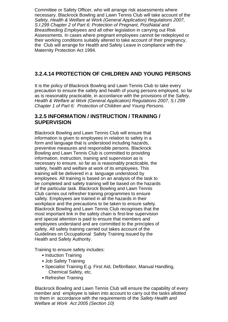Committee or Safety Officer, who will arrange risk assessments where necessary. Blackrock Bowling and Lawn Tennis Club will take account of the *Safety, Health & Welfare at Work (General Application) Regulations 2007, S.I.299 Chapter 2 of Part 6: Protection of Pregnant, PostNatal and Breastfeeding Employees* and all other legislation in carrying out Risk Assessments. In cases where pregnant employees cannot be redeployed or their working conditions suitably altered to take account of their pregnancy, the Club will arrange for Health and Safety Leave in compliance with the Maternity Protection Act 1994.

## **3.2.4.14 PROTECTION OF CHILDREN AND YOUNG PERSONS**

It is the policy of Blackrock Bowling and Lawn Tennis Club to take every precaution to ensure the safety and health of young persons employed, so far as is reasonably practicable, in accordance with the provisions of the *Safety, Health & Welfare at Work (General Application) Regulations 2007, S.I 299 Chapter 1 of Part 6: Protection of Children and Young Persons.* 

### **3.2.5 INFORMATION / INSTRUCTION / TRAINING / SUPERVISION**

Blackrock Bowling and Lawn Tennis Club will ensure that information is given to employees in relation to safety in a form and language that is understood including hazards, preventive measures and responsible persons. Blackrock Bowling and Lawn Tennis Club is committed to providing information, instruction, training and supervision as is necessary to ensure, so far as is reasonably practicable, the safety, health and welfare at work of its employees. This training will be delivered in a language understood by employees. All training is based on an analysis of the task to be completed and safety training will be based on the hazards of the particular task. Blackrock Bowling and Lawn Tennis Club carries out refresher training programmes to ensure safety. Employees are trained in all the hazards in their workplace and the precautions to be taken to ensure safety. Blackrock Bowling and Lawn Tennis Club recognises that the most important link in the safety chain is first-line supervision and special attention is paid to ensure that members and employees understand and are committed to the principles of safety. All safety training carried out takes account of the Guidelines on Occupational Safety Training issued by the Health and Safety Authority.

Training to ensure safety includes:

- Induction Training
- Job Safety Training
- Specialist Training E.g. First Aid, Defibrillator, Manual Handling, Chemical Safety, etc.
- Refresher Training

Blackrock Bowling and Lawn Tennis Club will ensure the capability of every member and employee is taken into account to carry out the tasks allotted to them in accordance with the requirements of the *Safety Health and Welfare at Work Act 2005 (Section 10)*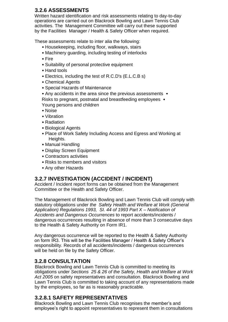# **3.2.6 ASSESSMENTS**

Written hazard identification and risk assessments relating to day-to-day operations are carried out on Blackrock Bowling and Lawn Tennis Club activities. The Management Committee will carry out these supported by the Facilities Manager / Health & Safety Officer when required.

These assessments relate to inter alia the following:

- Housekeeping, including floor, walkways, stairs
- Machinery guarding, including testing of interlocks
- Fire
- Suitability of personal protective equipment
- Hand tools
- Electrics, including the test of R.C.D's (E.L.C.B s)
- Chemical Agents
- Special Hazards of Maintenance
- Any accidents in the area since the previous assessments •

Risks to pregnant, postnatal and breastfeeding employees • Young persons and children

- Noise
- Vibration
- Radiation
- Biological Agents
- Place of Work Safety Including Access and Egress and Working at Heights.
- Manual Handling
- Display Screen Equipment
- Contractors activities
- Risks to members and visitors
- Any other Hazards

# **3.2.7 INVESTIGATION (ACCIDENT / INCIDENT)**

Accident / Incident report forms can be obtained from the Management Committee or the Health and Safety Officer.

The Management of Blackrock Bowling and Lawn Tennis Club will comply with statutory obligations under *the Safety Health and Welfare at Work (General Application) Regulations 1993, SI. 44 of 1993 Part X – Notification of Accidents and Dangerous Occurrences* to report accidents/incidents / dangerous occurrences resulting in absence of more than 3 consecutive days to the Health & Safety Authority on Form IR1.

Any dangerous occurrence will be reported to the Health & Safety Authority on form IR3. This will be the Facilities Manager / Health & Safety Officer's responsibility. Records of all accidents/incidents / dangerous occurrences will be held on file by the Safety Officer.

## **3.2.8 CONSULTATION**

Blackrock Bowling and Lawn Tennis Club is committed to meeting its obligations under *Sections 25 & 26 of the Safety, Health and Welfare at Work Act 2005* on safety representatives and consultation. Blackrock Bowling and Lawn Tennis Club is committed to taking account of any representations made by the employees, so far as is reasonably practicable.

# **3.2.8.1 SAFETY REPRESENTATIVES**

Blackrock Bowling and Lawn Tennis Club recognises the member's and employee's right to appoint representatives to represent them in consultations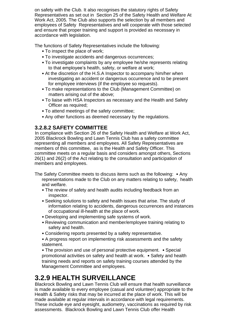on safety with the Club. It also recognises the statutory rights of Safety Representatives as set out in Section 25 of the Safety Health and Welfare At Work Act, 2005*.* The Club also supports the selection by all members and employees of Safety Representatives and will cooperate with those selected and ensure that proper training and support is provided as necessary in accordance with legislation.

The functions of Safety Representatives include the following:

- To inspect the place of work;
- To investigate accidents and dangerous occurrences;
- To investigate complaints by any employee he/she represents relating to that employee's health, safety, or welfare at work;
- At the discretion of the H.S.A Inspector to accompany him/her when investigating an accident or dangerous occurrence and to be present for employee interviews (if the employee so requests).
- To make representations to the Club (Management Committee) on matters arising out of the above;
- To liaise with HSA Inspectors as necessary and the Health and Safety Officer as required;
- To attend meetings of the safety committee;
- Any other functions as deemed necessary by the regulations.

## **3.2.8.2 SAFETY COMMITTEE**

In compliance with Section 26 of the Safety Health and Welfare at Work Act, 2005 Blackrock Bowling and Lawn Tennis Club has a safety committee representing all members and employees. All Safety Representatives are members of this committee, as is the Health and Safety Officer. This committee meets on a regular basis and considers amongst others, Sections 26(1) and 26(2) of the Act relating to the consultation and participation of members and employees.

The Safety Committee meets to discuss items such as the following: • Any representations made to the Club on any matters relating to safety, health and welfare.

- The review of safety and health audits including feedback from an inspector.
- Seeking solutions to safety and health issues that arise. The study of information relating to accidents, dangerous occurrences and instances of occupational ill-health at the place of work.
- Developing and implementing safe systems of work.
- Reviewing communication and member/employee training relating to safety and health.
- Considering reports presented by a safety representative.
- A progress report on implementing risk assessments and the safety statement.

• The provision and use of personal protective equipment. • Special promotional activities on safety and health at work. • Safety and health training needs and reports on safety training courses attended by the Management Committee and employees.

# **3.2.9 HEALTH SURVEILLANCE**

Blackrock Bowling and Lawn Tennis Club will ensure that health surveillance is made available to every employee (casual and volunteer) appropriate to the Health & Safety risks that may be incurred at the place of work. This will be made available at regular intervals in accordance with legal requirements. These include eye and eyesight, audiometry, vaccinations as required by risk assessments. Blackrock Bowling and Lawn Tennis Club offer Health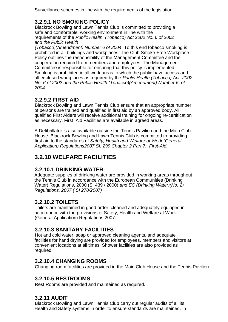Surveillance schemes in line with the requirements of the legislation.

# **3.2.9.1 NO SMOKING POLICY**

Blackrock Bowling and Lawn Tennis Club is committed to providing a safe and comfortable working environment in line with the requirements of the *Public Health (Tobacco) Act 2002 No. 6 of 2002 and the Public Health* 

*(Tobacco)(Amendment) Number 6 of 2004*. To this end tobacco smoking is prohibited in all buildings and workplaces. The Club Smoke-Free Workplace Policy outlines the responsibility of the Management Committee and the cooperation required from members and employees. The Management Committee is responsible for ensuring that this policy is implemented. Smoking is prohibited in all work areas to which the public have access and all enclosed workplaces as required by the *Public Health (Tobacco) Act 2002 No. 6 of 2002 and the Public Health (Tobacco)(Amendment) Number 6 of 2004*.

# **3.2.9.2 FIRST AID**

Blackrock Bowling and Lawn Tennis Club ensure that an appropriate number of persons are trained and qualified in first aid by an approved body. All qualified First Aiders will receive additional training for ongoing re-certification as necessary. First Aid Facilities are available in agreed areas.

A Defibrillator is also available outside the Tennis Pavilion and the Main Club House. Blackrock Bowling and Lawn Tennis Club is committed to providing first aid to the standards of *Safety, Health and Welfare at Work (General Application) Regulations2007 SI: 299 Chapter 2 Part 7: First-Aid.* 

# **3.2.10 WELFARE FACILITIES**

# **3.2.10.1 DRINKING WATER**

Adequate supplies of drinking water are provided in working areas throughout the Tennis Club in accordance with the European Communities (Drinking Water) Regulations, 2000 (SI 439 / 2000) *and EC (Drinking Water)(No. 2) Regulations, 2007 ( SI 278/2007)* 

# **3.2.10.2 TOILETS**

Toilets are maintained in good order, cleaned and adequately equipped in accordance with the provisions of Safety, Health and Welfare at Work (General Application) Regulations 2007.

# **3.2.10.3 SANITARY FACILITIES**

Hot and cold water, soap or approved cleaning agents, and adequate facilities for hand drying are provided for employees, members and visitors at convenient locations at all times. Shower facilities are also provided as required.

## **3.2.10.4 CHANGING ROOMS**

Changing room facilities are provided in the Main Club House and the Tennis Pavilion.

## **3.2.10.5 RESTROOMS**

Rest Rooms are provided and maintained as required.

# **3.2.11 AUDIT**

Blackrock Bowling and Lawn Tennis Club carry out regular audits of all its Health and Safety systems in order to ensure standards are maintained. In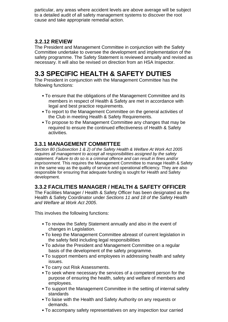particular, any areas where accident levels are above average will be subject to a detailed audit of all safety management systems to discover the root cause and take appropriate remedial action.

## **3.2.12 REVIEW**

The President and Management Committee in conjunction with the Safety Committee undertake to oversee the development and implementation of the safety programme. The Safety Statement is reviewed annually and revised as necessary. It will also be revised on direction from an HSA Inspector.

# **3.3 SPECIFIC HEALTH & SAFETY DUTIES**

The President in conjunction with the Management Committee has the following functions:

- To ensure that the obligations of the Management Committee and its members in respect of Health & Safety are met in accordance with legal and best practice requirements.
- To report to the Management Committee on the general activities of the Club in meeting Health & Safety Requirements.
- To propose to the Management Committee any changes that may be required to ensure the continued effectiveness of Health & Safety activities.

## **3.3.1 MANAGEMENT COMMITTEE**

*Section 80 (Subsection 1 & 2) of the Safety Health & Welfare At Work Act 2005 requires all management to accept all responsibilities assigned by the safety statement. Failure to do so is a criminal offence and can result in fines and/or imprisonment.* This requires the Management Committee to manage Health & Safety in the same way as the quality of service and operational efficiency. They are also responsible for ensuring that adequate funding is sought for Health and Safety development.

## **3.3.2 FACILITIES MANAGER / HEALTH & SAFETY OFFICER**

The Facilities Manager / Health & Safety Officer has been designated as the Health & Safety Coordinator under *Sections 11 and 18 of the Safety Health and Welfare at Work Act 2005*.

This involves the following functions:

- To review the Safety Statement annually and also in the event of changes in Legislation.
- To keep the Management Committee abreast of current legislation in the safety field including legal responsibilities
- To advise the President and Management Committee on a regular basis of the development of the safety programme.
- To support members and employees in addressing health and safety issues.
- To carry out Risk Assessments.
- To seek where necessary the services of a competent person for the purpose of ensuring the health, safety and welfare of members and employees.
- To support the Management Committee in the setting of internal safety standards
- To liaise with the Health and Safety Authority on any requests or demands.
- To accompany safety representatives on any inspection tour carried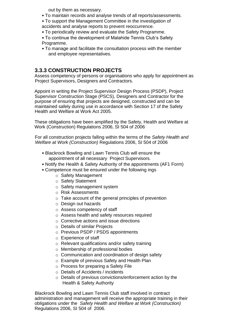out by them as necessary.

- To maintain records and analyse trends of all reports/assessments.
- To support the Management Committee in the investigation of accidents and analyse reports to prevent reoccurrence.
- To periodically review and evaluate the Safety Programme.
- 
- To continue the development of Malahide Tennis Club's Safety Programme.
- To manage and facilitate the consultation process with the member and employee representatives.

### **3.3.3 CONSTRUCTION PROJECTS**

Assess competency of persons or organisations who apply for appointment as Project Supervisors, Designers and Contractors.

Appoint in writing the Project Supervisor Design Process (PSDP), Project Supervisor Construction Stage (PSCS), Designers and Contractor for the purpose of ensuring that projects are designed, constructed and can be maintained safely during use in accordance with Section 17 of the Safety Health and Welfare at Work Act 2005.

These obligations have been amplified by the Safety, Health and Welfare at Work (Construction) Regulations 2006, SI 504 of 2006

For all construction projects falling within the terms of the *Safety Health and Welfare at Work (Construction)* Regulations 2006, SI 504 of 2006

- Blackrock Bowling and Lawn Tennis Club will ensure the appointment of all necessary Project Supervisors.
- Notify the Health & Safety Authority of the appointments (AF1 Form)
- Competence must be ensured under the following ings
	- o Safety Management
	- o Safety Statement
	- o Safety management system
	- o Risk Assessments
	- o Take account of the general principles of prevention
	- o Design out hazards
	- o Assess competency of staff
	- o Assess health and safety resources required
	- o Corrective actions and issue directions
	- o Details of similar Projects
	- o Previous PSDP / PSDS appointments
	- o Experience of staff
	- o Relevant qualifications and/or safety training
	- o Membership of professional bodies
	- o Communication and coordination of design safety
	- o Example of previous Safety and Health Plan
	- o Process for preparing a Safety File
	- o Details of Accidents / incidents
	- o Details of previous convictions/enforcement action by the Health & Safety Authority

Blackrock Bowling and Lawn Tennis Club staff involved in contract administration and management will receive the appropriate training in their obligations under the *Safety Health and Welfare at Work (Construction)*  Regulations 2006, SI 504 of 2006.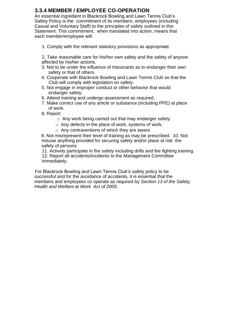## **3.3.4 MEMBER / EMPLOYEE CO-OPERATION**

An essential ingredient in Blackrock Bowling and Lawn Tennis Club's Safety Policy is the commitment of its members, employees (including Casual and Voluntary Staff) to the principles of safety outlined in this Statement. This commitment, when translated into action, means that each member/employee will:

1. Comply with the relevant statutory provisions as appropriate.

2. Take reasonable care for his/her own safety and the safety of anyone affected by his/her actions.

- 3. Not to be under the influence of Intoxicants as to endanger their own safety or that of others.
- 4. Cooperate with Blackrock Bowling and Lawn Tennis Club so that the Club will comply with legislation on safety.
- 5. Not engage in improper conduct or other behavior that would endanger safety.
- 6. Attend training and undergo assessment as required.
- 7. Make correct use of any article or substance (including PPE) at place of work.
- 8. Report
	- o Any work being carried out that may endanger safety.
	- o Any defects in the place of work, systems of work.
	- o Any contraventions of which they are aware.

9. Not misrepresent their level of training as may be prescribed. 10. Not misuse anything provided for securing safety and/or place at risk the safety of persons

11. Actively participate in fire safety including drills and fire fighting training. 12. Report all accidents/incidents to the Management Committee immediately.

For Blackrock Bowling and Lawn Tennis Club's safety policy to be successful and for the avoidance of accidents, it is essential that the members and employees co operate as required by *Section 13 of the Safety, Health and Welfare at Work Act of 2005.*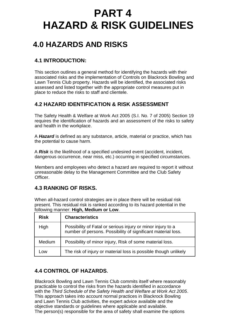# **PART 4 HAZARD & RISK GUIDELINES**

# **4.0 HAZARDS AND RISKS**

# **4.1 INTRODUCTION:**

This section outlines a general method for identifying the hazards with their associated risks and the implementation of Controls on Blackrock Bowling and Lawn Tennis Club property. Hazards will be identified, the associated risks assessed and listed together with the appropriate control measures put in place to reduce the risks to staff and clientele.

# **4.2 HAZARD IDENTIFICATION & RISK ASSESSMENT**

The Safety Health & Welfare at Work Act 2005 (S.I. No. 7 of 2005) Section 19 requires the identification of hazards and an assessment of the risks to safety and health in the workplace.

A *Hazard* is defined as any substance, article, material or practice, which has the potential to cause harm.

A *Risk* is the likelihood of a specified undesired event (accident, incident, dangerous occurrence, near miss, etc.) occurring in specified circumstances.

Members and employees who detect a hazard are required to report it without unreasonable delay to the Management Committee and the Club Safety Officer.

# **4.3 RANKING OF RISKS.**

When all-hazard control strategies are in place there will be residual risk present. This residual risk is ranked according to its hazard potential in the following manner: **High, Medium or Low**.

| <b>Risk</b> | <b>Characteristics</b>                                                                                                      |
|-------------|-----------------------------------------------------------------------------------------------------------------------------|
| High        | Possibility of Fatal or serious injury or minor injury to a<br>number of persons. Possibility of significant material loss. |
| Medium      | Possibility of minor injury, Risk of some material loss.                                                                    |
| Low         | The risk of injury or material loss is possible though unlikely                                                             |

# **4.4 CONTROL OF HAZARDS.**

Blackrock Bowling and Lawn Tennis Club commits itself where reasonably practicable to control the risks from the hazards identified in accordance with the *Third Schedule of the Safety Health and Welfare at Work Act 2005*. This approach takes into account normal practices in Blackrock Bowling and Lawn Tennis Club activities, the expert advice available and the objective standards or guidelines where applicable and available. The person(s) responsible for the area of safety shall examine the options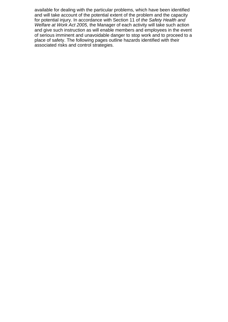available for dealing with the particular problems, which have been identified and will take account of the potential extent of the problem and the capacity for potential injury. In accordance with Section 11 of *the Safety Health and Welfare at Work Act 2005,* the Manager of each activity will take such action and give such instruction as will enable members and employees in the event of serious imminent and unavoidable danger to stop work and to proceed to a place of safety. The following pages outline hazards identified with their associated risks and control strategies.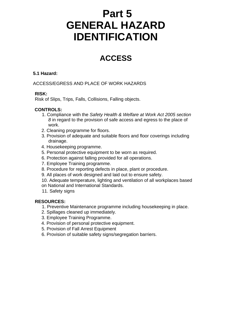# **Part 5 GENERAL HAZARD IDENTIFICATION**

# **ACCESS**

#### **5.1 Hazard:**

ACCESS/EGRESS AND PLACE OF WORK HAZARDS

#### **RISK:**

Risk of Slips, Trips, Falls, Collisions, Falling objects.

#### **CONTROLS:**

- 1. Compliance with the *Safety Health & Welfare at Work Act 2005 section 8* in regard to the provision of safe access and egress to the place of work.
- 2. Cleaning programme for floors.
- 3. Provision of adequate and suitable floors and floor coverings including drainage.
- 4. Housekeeping programme.
- 5. Personal protective equipment to be worn as required.
- 6. Protection against falling provided for all operations.
- 7. Employee Training programme.
- 8. Procedure for reporting defects in place, plant or procedure.
- 9. All places of work designed and laid out to ensure safety.
- 10. Adequate temperature, lighting and ventilation of all workplaces based on National and International Standards.
- 11. Safety signs

- 1. Preventive Maintenance programme including housekeeping in place.
- 2. Spillages cleaned up immediately.
- 3. Employee Training Programme.
- 4. Provision of personal protective equipment.
- 5. Provision of Fall Arrest Equipment
- 6. Provision of suitable safety signs/segregation barriers.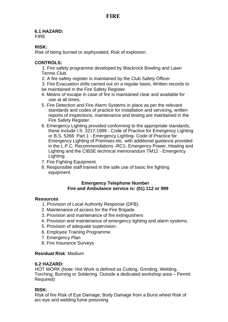# **6.1 HAZARD:**

FIRE

#### **RISK:**

Risk of being burned or asphyxiated, Risk of explosion.

#### **CONTROLS:**

1. Fire safety programme developed by Blackrock Bowling and Lawn Tennis Club.

- 2. A fire safety register is maintained by the Club Safety Officer
- 3. Fire Evacuation drills carried out on a regular basis. Written records to be maintained in the Fire Safety Register.
- 4. Means of escape in case of fire is maintained clear and available for use at all times.
- 5. Fire Detection and Fire Alarm Systems in place as per the relevant standards and codes of practice for installation and servicing, written reports of inspections, maintenance and testing are maintained in the Fire Safety Register.
- 6. Emergency Lighting provided conforming to the appropriate standards, these include I.S. 3217:1989 - Code of Practice for Emergency Lighting or B.S. 5266: Part 1 - Emergency Lighting- Code of Practice for Emergency Lighting of Premises etc. with additional guidance provided in the L.P.C. Recommendations -RC1- Emergency Power, Heating and Lighting and the CIBSE technical memorandum TM12 - Emergency Lighting.
- 7. Fire Fighting Equipment.
- 8. Responsible staff trained in the safe use of basic fire fighting equipment.

#### **Emergency Telephone Number Fire and Ambulance service is: (01) 112 or 999**

#### **Resources**

- 1. Provision of Local Authority Response (DFB).
- 2. Maintenance of access for the Fire Brigade.
- 3. Provision and maintenance of fire extinguishers
- 4. Provision and maintenance of emergency lighting and alarm systems.
- 5. Provision of adequate supervision.
- 6. Employee Training Programme.
- 7. Emergency Plan
- 8. Fire Insurance Surveys

#### **Residual Risk**: Medium

#### **6.2 HAZARD:**

HOT WORK (Note: Hot Work is defined as Cutting, Grinding, Welding, Torching, Burning or Soldering. Outside a dedicated workshop area – Permit Required)

#### **RISK:**

Risk of fire Risk of Eye Damage; Body Damage from a Burst wheel Risk of arc-eye and welding fume poisoning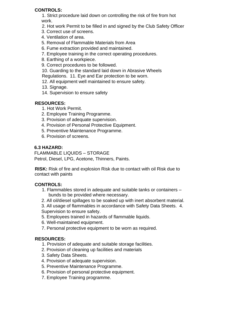#### **CONTROLS:**

1. Strict procedure laid down on controlling the risk of fire from hot work.

- 2. Hot work Permit to be filled in and signed by the Club Safety Officer
- 3. Correct use of screens.
- 4. Ventilation of area.
- 5. Removal of Flammable Materials from Area
- 6. Fume extraction provided and maintained.
- 7. Employee training in the correct operating procedures.
- 8. Earthing of a workpiece.
- 9. Correct procedures to be followed.

10. Guarding to the standard laid down in Abrasive Wheels Regulations. 11. Eye and Ear protection to be worn.

- 12. All equipment well maintained to ensure safety.
- 13. Signage.
- 14. Supervision to ensure safety

#### **RESOURCES:**

- 1. Hot Work Permit.
- 2. Employee Training Programme.
- 3. Provision of adequate supervision.
- 4. Provision of Personal Protective Equipment.
- 5. Preventive Maintenance Programme.
- 6. Provision of screens.

#### **6.3 HAZARD:**

FLAMMABLE LIQUIDS – STORAGE Petrol, Diesel, LPG, Acetone, Thinners, Paints.

**RISK:** Risk of fire and explosion Risk due to contact with oil Risk due to contact with paints

#### **CONTROLS:**

- 1. Flammables stored in adequate and suitable tanks or containers bunds to be provided where necessary.
- 2. All oil/diesel spillages to be soaked up with inert absorbent material.

3. All usage of flammables in accordance with Safety Data Sheets. 4. Supervision to ensure safety.

- 5. Employees trained in hazards of flammable liquids.
- 6. Well-maintained equipment.
- 7. Personal protective equipment to be worn as required.

- 1. Provision of adequate and suitable storage facilities.
- 2. Provision of cleaning up facilities and materials
- 3. Safety Data Sheets.
- 4. Provision of adequate supervision.
- 5. Preventive Maintenance Programme.
- 6. Provision of personal protective equipment.
- 7. Employee Training programme.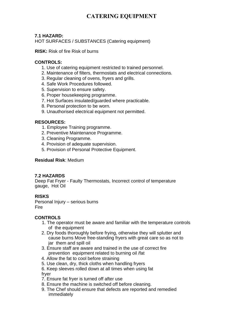# **CATERING EQUIPMENT**

#### **7.1 HAZARD:**

HOT SURFACES / SUBSTANCES (Catering equipment)

**RISK:** Risk of fire Risk of burns

#### **CONTROLS:**

- 1. Use of catering equipment restricted to trained personnel.
- 2. Maintenance of filters, thermostats and electrical connections.
- 3. Regular cleaning of ovens, fryers and grills.
- 4. Safe Work Procedures followed.
- 5. Supervision to ensure safety.
- 6. Proper housekeeping programme.
- 7. Hot Surfaces insulated/guarded where practicable.
- 8. Personal protection to be worn.
- 9. Unauthorised electrical equipment not permitted.

#### **RESOURCES:**

- 1. Employee Training programme.
- 2. Preventive Maintenance Programme.
- 3. Cleaning Programme.
- 4. Provision of adequate supervision.
- 5. Provision of Personal Protective Equipment.

#### **Residual Risk**: Medium

#### **7.2 HAZARDS**

Deep Fat Fryer - Faulty Thermostats, Incorrect control of temperature gauge, Hot Oil

#### **RISKS**

Personal Injury – serious burns Fire

#### **CONTROLS**

- 1. The operator must be aware and familiar with the temperature controls of the equipment
- 2. Dry foods thoroughly before frying, otherwise they will splutter and cause burns Move free-standing fryers with great care so as not to jar them and spill oil
- 3. Ensure staff are aware and trained in the use of correct fire prevention equipment related to burning oil /fat
- 4. Allow the fat to cool before straining
- 5. Use clean, dry, thick cloths when handling fryers
- 6. Keep sleeves rolled down at all times when using fat fryer
- 7. Ensure fat fryer is turned off after use
- 8. Ensure the machine is switched off before cleaning.
- 9. The Chef should ensure that defects are reported and remedied immediately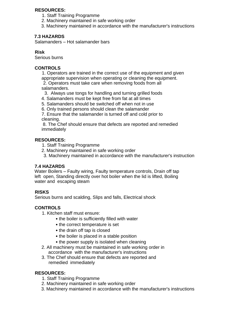#### **RESOURCES:**

- 1. Staff Training Programme
- 2. Machinery maintained in safe working order
- 3. Machinery maintained in accordance with the manufacturer's instructions

#### **7.3 HAZARDS**

Salamanders – Hot salamander bars

#### **Risk**

Serious burns

#### **CONTROLS**

1. Operators are trained in the correct use of the equipment and given appropriate supervision when operating or cleaning the equipment.

2. Operators must take care when removing foods from all salamanders.

- 3. Always use tongs for handling and turning grilled foods
- 4. Salamanders must be kept free from fat at all times
- 5. Salamanders should be switched off when not in use
- 6. Only trained persons should clean the salamander

7. Ensure that the salamander is turned off and cold prior to cleaning.

8. The Chef should ensure that defects are reported and remedied immediately

#### **RESOURCES:**

- 1. Staff Training Programme
- 2. Machinery maintained in safe working order
- 3. Machinery maintained in accordance with the manufacturer's instruction

#### **7.4 HAZARDS**

Water Boilers – Faulty wiring, Faulty temperature controls, Drain off tap left open, Standing directly over hot boiler when the lid is lifted, Boiling water and escaping steam

#### **RISKS**

Serious burns and scalding, Slips and falls, Electrical shock

#### **CONTROLS**

- 1. Kitchen staff must ensure:
	- the boiler is sufficiently filled with water
	- the correct temperature is set
	- the drain off tap is closed
	- the boiler is placed in a stable position
	- the power supply is isolated when cleaning
- 2. All machinery must be maintained in safe working order in accordance with the manufacturer's instructions
- 3. The Chef should ensure that defects are reported and remedied immediately

- 1. Staff Training Programme
- 2. Machinery maintained in safe working order
- 3. Machinery maintained in accordance with the manufacturer's instructions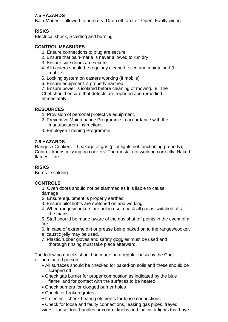#### **7.5 HAZARDS**

Bain-Maries – allowed to burn dry, Drain off tap Left Open, Faulty wiring

### **RISKS**

Electrical shock, Scalding and burning

#### **CONTROL MEASURES**

- 1. Ensure connections to plug are secure
- 2. Ensure that bain-marie is never allowed to run dry
- 3. Ensure side doors are secure
- 4. All casters should be regularly cleaned, oiled and maintained (If mobile).
- 5. Locking system on casters working (If mobile)
- 6. Ensure equipment is properly earthed

7. Ensure power is isolated before cleaning or moving. 8. The Chef should ensure that defects are reported and remedied Immediately

#### **RESOURCES**

- 1. Provision of personal protective equipment.
- 2. Preventive Maintenance Programme in accordance with the manufacturers instructions.
- 3. Employee Training Programme.

#### **7.6 HAZARDS**

Ranges / Cookers – Leakage of gas (pilot lights not functioning properly), Control knobs missing on cookers, Thermostat not working correctly, Naked flames - fire

#### **RISKS**

Burns - scalding

#### **CONTROLS**

- 1. Oven doors should not be slammed as it is liable to cause damage
- 2. Ensure equipment is properly earthed
- 3. Ensure pilot lights are switched on and working
- 4. When ranges/cookers are not in use, check all gas is switched off at the mains
- 5. Staff should be made aware of the gas shut off points in the event of a fire.
- 6. In case of extreme dirt or grease being baked on to the ranges/cooker,
- a caustic jelly may be used.
- 7. Plastic/rubber gloves and safety goggles must be used and thorough rinsing must take place afterward.

The following checks should be made on a regular basis by the Chef or nominated person;

- All surfaces should be checked for baked-on soils and these should be scraped off
- Check gas burner for proper combustion as indicated by the blue flame and for contact with the surfaces to be heated
- Check burners for clogged burner holes
- Check for broken grates
- If electric check heating elements for loose connections
- Check for loose and faulty connections, leaking gas pipes, frayed
- wires, loose door handles or control knobs and indicator lights that have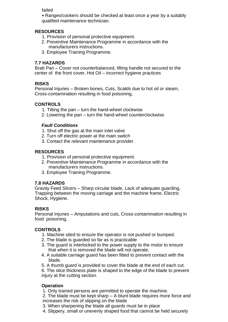failed

• Ranges/cookers should be checked at least once a year by a suitably qualified maintenance technician.

#### **RESOURCES**

- 1. Provision of personal protective equipment.
- 2. Preventive Maintenance Programme in accordance with the manufacturers instructions.
- 3. Employee Training Programme.

#### **7.7 HAZARDS**

Bratt Pan – Cover not counterbalanced, lifting handle not secured to the center of the front cover, Hot Oil – incorrect hygiene practices

#### **RISKS**

Personal Injuries – Broken bones, Cuts, Scalds due to hot oil or steam, Cross-contamination resulting in food poisoning,

#### **CONTROLS**

- 1. Tilting the pan turn the hand-wheel clockwise
- 2. Lowering the pan turn the hand-wheel counterclockwise.

#### *Fault Conditions*

- 1. Shut off the gas at the main inlet valve
- 2. Turn off electric power at the main switch
- 3. Contact the relevant maintenance provider.

#### **RESOURCES**

- 1. Provision of personal protective equipment.
- 2. Preventive Maintenance Programme in accordance with the manufacturers instructions.
- 3. Employee Training Programme.

#### **7.8 HAZARDS**

Gravity Feed Slicers – Sharp circular blade, Lack of adequate guarding, Trapping between the moving carriage and the machine frame, Electric Shock, Hygiene.

#### **RISKS**

Personal Injuries – Amputations and cuts, Cross-contamination resulting in food poisoning,

#### **CONTROLS**

- 1. Machine sited to ensure the operator is not pushed or bumped.
- 2. The blade is guarded so far as is practicable
- 3. The guard is interlocked to the power supply to the motor to ensure that when it is removed the blade will not operate.
- 4. A suitable carriage guard has been fitted to prevent contact with the blade.
- 5. A thumb guard is provided to cover the blade at the end of each cut.
- 6. The slice thickness plate is shaped to the edge of the blade to prevent injury at the cutting section.

#### **Operation**

1. Only trained persons are permitted to operate the machine.

2. The blade must be kept sharp – A blunt blade requires more force and increases the risk of slipping on the blade

- 3. When sharpening the blade all guards must be in place
- 4. Slippery, small or unevenly shaped food that cannot be held securely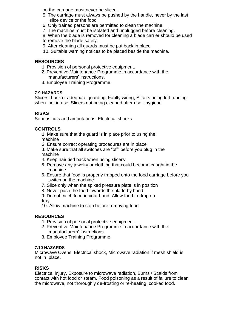on the carriage must never be sliced.

- 5. The carriage must always be pushed by the handle, never by the last slice device or the food
- 6. Only trained persons are permitted to clean the machine
- 7. The machine must be isolated and unplugged before cleaning.

8. When the blade is removed for cleaning a blade carrier should be used

to remove the blade safely.

- 9. After cleaning all guards must be put back in place
- 10. Suitable warning notices to be placed beside the machine.

#### **RESOURCES**

- 1. Provision of personal protective equipment.
- 2. Preventive Maintenance Programme in accordance with the manufacturers' instructions.
- 3. Employee Training Programme.

#### **7.9 HAZARDS**

Slicers: Lack of adequate guarding, Faulty wiring, Slicers being left running when not in use, Slicers not being cleaned after use - hygiene

#### **RISKS**

Serious cuts and amputations, Electrical shocks

#### **CONTROLS**

1. Make sure that the guard is in place prior to using the machine

- 2. Ensure correct operating procedures are in place
- 3. Make sure that all switches are "off" before you plug in the machine
- 4. Keep hair tied back when using slicers
- 5. Remove any jewelry or clothing that could become caught in the machine
- 6. Ensure that food is properly trapped onto the food carriage before you switch on the machine
- 7. Slice only when the spiked pressure plate is in position
- 8. Never push the food towards the blade by hand

9. Do not catch food in your hand. Allow food to drop on tray

10. Allow machine to stop before removing food

#### **RESOURCES**

- 1. Provision of personal protective equipment.
- 2. Preventive Maintenance Programme in accordance with the manufacturers' instructions.
- 3. Employee Training Programme.

#### **7.10 HAZARDS**

Microwave Ovens: Electrical shock, Microwave radiation if mesh shield is not in place.

#### **RISKS**

Electrical injury, Exposure to microwave radiation, Burns / Scalds from contact with hot food or steam, Food poisoning as a result of failure to clean the microwave, not thoroughly de-frosting or re-heating, cooked food.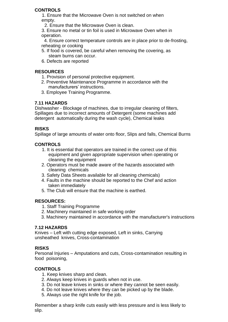#### **CONTROLS**

1. Ensure that the Microwave Oven is not switched on when empty.

2. Ensure that the Microwave Oven is clean.

3. Ensure no metal or tin foil is used in Microwave Oven when in operation.

 4. Ensure correct temperature controls are in place prior to de-frosting, reheating or cooking

- 5. If food is covered, be careful when removing the covering, as steam burns can occur.
- 6. Defects are reported

#### **RESOURCES**

- 1. Provision of personal protective equipment.
- 2. Preventive Maintenance Programme in accordance with the manufacturers' instructions.
- 3. Employee Training Programme.

#### **7.11 HAZARDS**

Dishwasher - Blockage of machines, due to irregular cleaning of filters, Spillages due to incorrect amounts of Detergent (some machines add detergent automatically during the wash cycle), Chemical leaks

#### **RISKS**

Spillage of large amounts of water onto floor, Slips and falls, Chemical Burns

#### **CONTROLS**

- 1. It is essential that operators are trained in the correct use of this equipment and given appropriate supervision when operating or cleaning the equipment
- 2. Operators must be made aware of the hazards associated with cleaning chemicals
- 3. Safety Data Sheets available for all cleaning chemicals)
- 4. Faults in the machine should be reported to the Chef and action taken immediately
- 5. The Club will ensure that the machine is earthed.

#### **RESOURCES:**

- 1. Staff Training Programme
- 2. Machinery maintained in safe working order
- 3. Machinery maintained in accordance with the manufacturer's instructions

#### **7.12 HAZARDS**

Knives – Left with cutting edge exposed, Left in sinks, Carrying unsheathed knives, Cross-contamination

#### **RISKS**

Personal Injuries – Amputations and cuts, Cross-contamination resulting in food poisoning,

#### **CONTROLS**

- 1. Keep knives sharp and clean.
- 2. Always keep knives in guards when not in use.
- 3. Do not leave knives in sinks or where they cannot be seen easily.
- 4. Do not leave knives where they can be picked up by the blade.
- 5. Always use the right knife for the job.

Remember a sharp knife cuts easily with less pressure and is less likely to slip.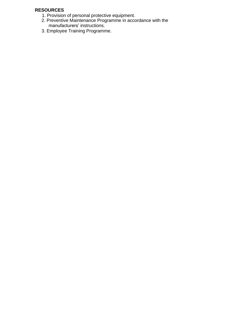- 1. Provision of personal protective equipment.
- 2. Preventive Maintenance Programme in accordance with the manufacturers' instructions.
- 3. Employee Training Programme.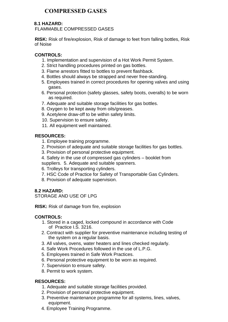# **COMPRESSED GASES**

#### **8.1 HAZARD:**

FLAMMABLE COMPRESSED GASES

**RISK:** Risk of fire/explosion, Risk of damage to feet from falling bottles, Risk of Noise

#### **CONTROLS:**

- 1. Implementation and supervision of a Hot Work Permit System.
- 2. Strict handling procedures printed on gas bottles.
- 3. Flame arrestors fitted to bottles to prevent flashback.
- 4. Bottles should always be strapped and never free-standing.
- 5. Employees trained in correct procedures for opening valves and using gases.
- 6. Personal protection (safety glasses, safety boots, overalls) to be worn as required.
- 7. Adequate and suitable storage facilities for gas bottles.
- 8. Oxygen to be kept away from oils/greases.
- 9. Acetylene draw-off to be within safety limits.
- 10. Supervision to ensure safety.
- 11. All equipment well maintained.

#### **RESOURCES:**

- 1. Employee training programme.
- 2. Provision of adequate and suitable storage facilities for gas bottles.
- 3. Provision of personal protective equipment.
- 4. Safety in the use of compressed gas cylinders booklet from

suppliers. 5. Adequate and suitable spanners.

- 6. Trolleys for transporting cylinders.
- 7. HSC Code of Practice for Safety of Transportable Gas Cylinders.
- 8. Provision of adequate supervision.

#### **8.2 HAZARD:**

STORAGE AND USE OF LPG

**RISK:** Risk of damage from fire, explosion

#### **CONTROLS:**

- 1. Stored in a caged, locked compound in accordance with Code of Practice I.S. 3216.
- 2. Contract with supplier for preventive maintenance including testing of the system on a regular basis.
- 3. All valves, ovens, water heaters and lines checked regularly.
- 4. Safe Work Procedures followed in the use of L.P.G.
- 5. Employees trained in Safe Work Practices.
- 6. Personal protective equipment to be worn as required.
- 7. Supervision to ensure safety.
- 8. Permit to work system.

- 1. Adequate and suitable storage facilities provided.
- 2. Provision of personal protective equipment.
- 3. Preventive maintenance programme for all systems, lines, valves, equipment.
- 4. Employee Training Programme.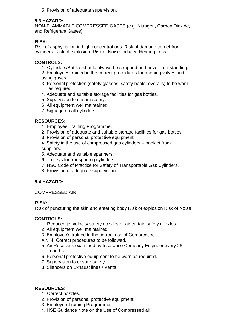5. Provision of adequate supervision.

#### **8.3 HAZARD:**

NON-FLAMMABLE COMPRESSED GASES (e.g. Nitrogen, Carbon Dioxide, and Refrigerant Gases**)** 

#### **RISK:**

Risk of asphyxiation in high concentrations. Risk of damage to feet from cylinders. Risk of explosion, Risk of Noise-Induced Hearing Loss

#### **CONTROLS:**

- 1. Cylinders/Bottles should always be strapped and never free-standing.
- 2. Employees trained in the correct procedures for opening valves and using gases.
- 3. Personal protection (safety glasses, safety boots, overalls) to be worn as required.
- 4. Adequate and suitable storage facilities for gas bottles.
- 5. Supervision to ensure safety.
- 6. All equipment well maintained.
- 7. Signage on all cylinders.

#### **RESOURCES:**

- 1. Employee Training Programme.
- 2. Provision of adequate and suitable storage facilities for gas bottles.
- 3. Provision of personal protective equipment.
- 4. Safety in the use of compressed gas cylinders booklet from suppliers.
- 5. Adequate and suitable spanners.
- 6. Trolleys for transporting cylinders.
- 7. HSC Code of Practice for Safety of Transportable Gas Cylinders.
- 8. Provision of adequate supervision.

#### **8.4 HAZARD:**

#### COMPRESSED AIR

#### **RISK:**

Risk of puncturing the skin and entering body Risk of explosion Risk of Noise

#### **CONTROLS:**

- 1. Reduced jet velocity safety nozzles or air curtain safety nozzles.
- 2. All equipment well maintained.
- 3. Employee's trained in the correct use of Compressed
- Air. 4. Correct procedures to be followed.
- 5. Air Receivers examined by Insurance Company Engineer every 26 months.
- 6. Personal protective equipment to be worn as required.
- 7. Supervision to ensure safety.
- 8. Silencers on Exhaust lines / Vents.

- 1. Correct nozzles.
- 2. Provision of personal protective equipment.
- 3. Employee Training Programme.
- 4. HSE Guidance Note on the Use of Compressed air.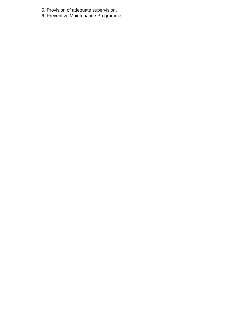- 5. Provision of adequate supervision.
- 6. Preventive Maintenance Programme.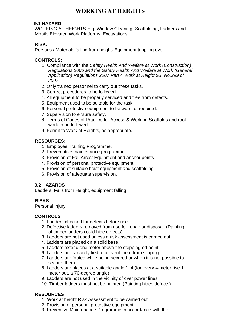# **WORKING AT HEIGHTS**

#### **9.1 HAZARD:**

WORKING AT HEIGHTS E.g. Window Cleaning, Scaffolding, Ladders and Mobile Elevated Work Platforms, Excavations

#### **RISK:**

Persons / Materials falling from height**.** Equipment toppling over

#### **CONTROLS:**

- 1. Compliance with the *Safety Health And Welfare at Work (Construction) Regulations 2006 and the Safety Health And Welfare at Work (General Application) Regulations 2007 Part 4 Work at Height S.I. No.299 of 2007*
- 2. Only trained personnel to carry out these tasks.
- 3. Correct procedures to be followed.
- 4. All equipment to be properly serviced and free from defects.
- 5. Equipment used to be suitable for the task.
- 6. Personal protective equipment to be worn as required.
- 7. Supervision to ensure safety.
- 8. Terms of Codes of Practice for Access & Working Scaffolds and roof work to be followed.
- 9. Permit to Work at Heights, as appropriate.

#### **RESOURCES:**

- 1. Employee Training Programme.
- 2. Preventative maintenance programme.
- 3. Provision of Fall Arrest Equipment and anchor points
- 4. Provision of personal protective equipment.
- 5. Provision of suitable hoist equipment and scaffolding
- 6. Provision of adequate supervision.

#### **9.2 HAZARDS**

Ladders: Falls from Height, equipment falling

#### **RISKS**

Personal Injury

#### **CONTROLS**

- 1. Ladders checked for defects before use.
- 2. Defective ladders removed from use for repair or disposal. (Painting of timber ladders could hide defects).
- 3. Ladders are not used unless a risk assessment is carried out.
- 4. Ladders are placed on a solid base.
- 5. Ladders extend one meter above the stepping-off point.
- 6. Ladders are securely tied to prevent them from slipping.
- 7. Ladders are footed while being secured or when it is not possible to secure them
- 8. Ladders are places at a suitable angle 1: 4 (for every 4-meter rise 1 meter out, a 70-degree angle)
- 9. Ladders are not used in the vicinity of over power lines
- 10. Timber ladders must not be painted (Painting hides defects)

- 1. Work at height Risk Assessment to be carried out
- 2. Provision of personal protective equipment.
- 3. Preventive Maintenance Programme in accordance with the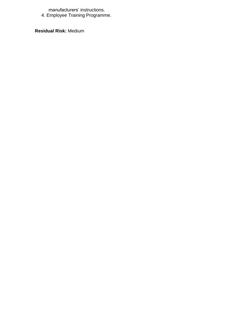manufacturers' instructions.

4. Employee Training Programme.

**Residual Risk:** Medium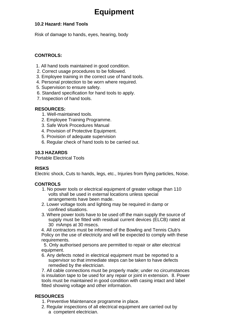# **Equipment**

#### **10.2 Hazard: Hand Tools**

Risk of damage to hands, eyes, hearing, body

#### **CONTROLS:**

- 1. All hand tools maintained in good condition.
- 2. Correct usage procedures to be followed.
- 3. Employee training in the correct use of hand tools.
- 4. Personal protection to be worn where required.
- 5. Supervision to ensure safety.
- 6. Standard specification for hand tools to apply.
- 7. Inspection of hand tools.

#### **RESOURCES:**

- 1. Well-maintained tools.
- 2. Employee Training Programme.
- 3. Safe Work Procedures Manual
- 4. Provision of Protective Equipment.
- 5. Provision of adequate supervision
- 6. Regular check of hand tools to be carried out.

#### **10.3 HAZARDS**

Portable Electrical Tools

#### **RISKS**

Electric shock, Cuts to hands, legs, etc., Injuries from flying particles, Noise.

#### **CONTROLS**

- 1. No power tools or electrical equipment of greater voltage than 110 volts shall be used in external locations unless special arrangements have been made.
- 2. Lower voltage tools and lighting may be required in damp or confined situations.
- 3. Where power tools have to be used off the main supply the source of supply must be fitted with residual current devices (ELCB) rated at 30 mAmps at 30 msecs.

4. All contractors must be informed of the Bowling and Tennis Club's Policy on the use of electricity and will be expected to comply with these requirements.

 5. Only authorised persons are permitted to repair or alter electrical equipment.

6. Any defects noted in electrical equipment must be reported to a supervisor so that immediate steps can be taken to have defects remedied by the electrician.

7. All cable connections must be properly made; under no circumstances is insulation tape to be used for any repair or joint in extension. 8. Power tools must be maintained in good condition with casing intact and label fitted showing voltage and other information.

- 1. Preventive Maintenance programme in place.
- 2. Regular inspections of all electrical equipment are carried out by a competent electrician.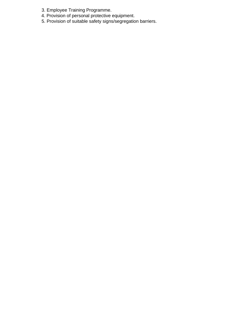- 3. Employee Training Programme.
- 4. Provision of personal protective equipment.
- 5. Provision of suitable safety signs/segregation barriers.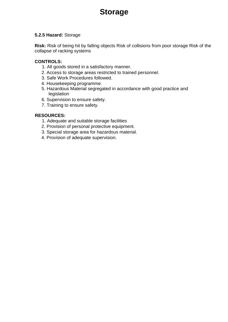# **Storage**

#### **5.2.5 Hazard:** Storage

**Risk:** Risk of being hit by falling objects Risk of collisions from poor storage Risk of the collapse of racking systems

#### **CONTROLS:**

- 1. All goods stored in a satisfactory manner.
- 2. Access to storage areas restricted to trained personnel.
- 3. Safe Work Procedures followed.
- 4. Housekeeping programme.
- 5. Hazardous Material segregated in accordance with good practice and legislation
- 6. Supervision to ensure safety.
- 7. Training to ensure safety.

- 1. Adequate and suitable storage facilities
- 2. Provision of personal protective equipment.
- 3. Special storage area for hazardous material.
- 4. Provision of adequate supervision.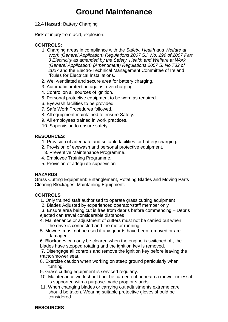# **Ground Maintenance**

#### **12.4 Hazard:** Battery Charging

Risk of injury from acid, explosion.

#### **CONTROLS:**

- 1. Charging areas in compliance with the *Safety, Health and Welfare at Work (General Application) Regulations 2007 S.I. No. 299 of 2007 Part 3 Electricity as amended by the Safety, Health and Welfare at Work (General Application) (Amendment) Regulations 2007 SI No 732 of 2007* and the Electro-Technical Management Committee of Ireland "Rules for Electrical Installations.
- 2. Well-ventilated and secure area for battery charging.
- 3. Automatic protection against overcharging.
- 4. Control on all sources of ignition.
- 5. Personal protective equipment to be worn as required.
- 6. Eyewash facilities to be provided.
- 7. Safe Work Procedures followed.
- 8. All equipment maintained to ensure Safety.
- 9. All employees trained in work practices.
- 10. Supervision to ensure safety.

#### **RESOURCES:**

- 1. Provision of adequate and suitable facilities for battery charging.
- 2. Provision of eyewash and personal protective equipment.
- 3. Preventive Maintenance Programme.
- 4. Employee Training Programme.
- 5. Provision of adequate supervision

#### **HAZARDS**

Grass Cutting Equipment: Entanglement, Rotating Blades and Moving Parts Clearing Blockages, Maintaining Equipment.

#### **CONTROLS**

- 1. Only trained staff authorised to operate grass cutting equipment
- 2. Blades Adjusted by experienced operator/staff member only

3. Ensure area being cut is free from debris before commencing – Debris ejected can travel considerable distances

- 4. Maintenance or adjustment of cutters must not be carried out when the drive is connected and the motor running.
- 5. Mowers must not be used if any guards have been removed or are damaged.

6. Blockages can only be cleared when the engine is switched off, the blades have stopped rotating and the ignition key is removed.

7. Disengage all controls and remove the ignition key before leaving the tractor/mower seat.

- 8. Exercise caution when working on steep ground particularly when turning.
- 9. Grass cutting equipment is serviced regularly.
- 10. Maintenance work should not be carried out beneath a mower unless it is supported with a purpose-made prop or stands.
- 11. When changing blades or carrying out adjustments extreme care should be taken. Wearing suitable protective gloves should be considered.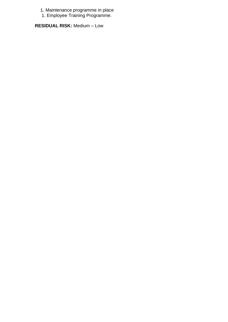- 1. Maintenance programme in place
- 1. Employee Training Programme.

**RESIDUAL RISK:** Medium – Low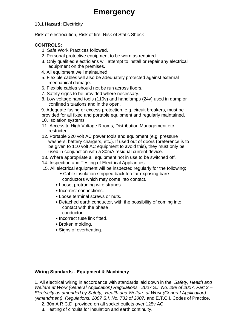# **Emergency**

#### **13.1 Hazard:** Electricity

Risk of electrocution, Risk of fire, Risk of Static Shock

#### **CONTROLS:**

- 1. Safe Work Practices followed.
- 2. Personal protective equipment to be worn as required.
- 3. Only qualified electricians will attempt to install or repair any electrical equipment on the premises.
- 4. All equipment well maintained.
- 5. Flexible cables will also be adequately protected against external mechanical damage.
- 6. Flexible cables should not be run across floors.
- 7. Safety signs to be provided where necessary.
- 8. Low voltage hand tools (110v) and handlamps (24v) used in damp or confined situations and in the open.

9. Adequate fusing or excess protection, e.g. circuit breakers, must be provided for all fixed and portable equipment and regularly maintained. 10. Isolation systems

- 11. Access to High Voltage Rooms, Distribution Management etc. restricted.
- 12. Portable 220 volt AC power tools and equipment (e.g. pressure washers, battery chargers, etc.). If used out of doors (preference is to be given to 110 volt AC equipment to avoid this), they must only be used in conjunction with a 30mA residual current device.
- 13. Where appropriate all equipment not in use to be switched off.
- 14. Inspection and Testing of Electrical Appliances
- 15. All electrical equipment will be inspected regularly for the following;
	- Cable insulation stripped back too far exposing bare conductors which may come into contact.
	- Loose, protruding wire strands.
	- Incorrect connections.
	- Loose terminal screws or nuts.
	- Detached earth conductor, with the possibility of coming into contact with the phase conductor.
	- Incorrect fuse link fitted.
	- Broken molding.
	- Signs of overheating.

#### **Wiring Standards - Equipment & Machinery**

1. All electrical wiring in accordance with standards laid down in the *Safety, Health and Welfare at Work (General Application) Regulations, 2007 S.I. No. 299 of 2007, Part 3 – Electricity as amended by Safety, Health and Welfare at Work (General Application) (Amendment) Regulations, 2007 S.I. No. 732 of 2007.* and E.T.C.I. Codes of Practice.

- 2. 30mA R.C.D. provided on all socket outlets over 125v AC.
- 3. Testing of circuits for insulation and earth continuity.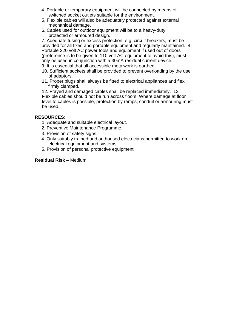- 4. Portable or temporary equipment will be connected by means of switched socket outlets suitable for the environment.
- 5. Flexible cables will also be adequately protected against external mechanical damage.
- 6. Cables used for outdoor equipment will be to a heavy-duty protected or armoured design.

7. Adequate fusing or excess protection, e.g. circuit breakers, must be provided for all fixed and portable equipment and regularly maintained. 8. Portable 220 volt AC power tools and equipment if used out of doors (preference is to be given to 110 volt AC equipment to avoid this), must only be used in conjunction with a 30mA residual current device.

- 9. It is essential that all accessible metalwork is earthed.
- 10. Sufficient sockets shall be provided to prevent overloading by the use of adaptors.
- 11. Proper plugs shall always be fitted to electrical appliances and flex firmly clamped.

12. Frayed and damaged cables shall be replaced immediately. 13. Flexible cables should not be run across floors. Where damage at floor level to cables is possible, protection by ramps, conduit or armouring must be used.

#### **RESOURCES:**

- 1. Adequate and suitable electrical layout.
- 2. Preventive Maintenance Programme.
- 3. Provision of safety signs.
- 4. Only suitably trained and authorised electricians permitted to work on electrical equipment and systems.
- 5. Provision of personal protective equipment

#### **Residual Risk –** Medium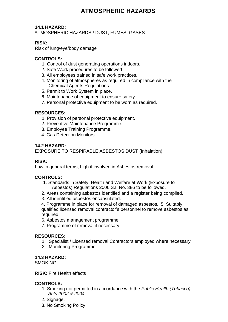# **ATMOSPHERIC HAZARDS**

#### **14.1 HAZARD:**

ATMOSPHERIC HAZARDS / DUST, FUMES, GASES

#### **RISK:**

Risk of lung/eye/body damage

#### **CONTROLS:**

- 1. Control of dust generating operations indoors.
- 2. Safe Work procedures to be followed
- 3. All employees trained in safe work practices.
- 4. Monitoring of atmospheres as required in compliance with the Chemical Agents Regulations
- 5. Permit to Work System in place.
- 6. Maintenance of equipment to ensure safety.
- 7. Personal protective equipment to be worn as required.

#### **RESOURCES:**

- 1. Provision of personal protective equipment.
- 2. Preventive Maintenance Programme.
- 3. Employee Training Programme.
- 4. Gas Detection Monitors

#### **14.2 HAZARD:**

EXPOSURE TO RESPIRABLE ASBESTOS DUST (Inhalation)

#### **RISK:**

Low in general terms, high if involved in Asbestos removal.

#### **CONTROLS:**

- 1. Standards in Safety, Health and Welfare at Work (Exposure to Asbestos) Regulations 2006 S.I. No. 386 to be followed.
- 2. Areas containing asbestos identified and a register being compiled.
- 3. All identified asbestos encapsulated.

4. Programme in place for removal of damaged asbestos. 5. Suitably qualified licensed removal contractor's personnel to remove asbestos as required.

- 6. Asbestos management programme.
- 7. Programme of removal if necessary.

#### **RESOURCES:**

- 1. Specialist / Licensed removal Contractors employed where necessary
- 2. Monitoring Programme.

#### **14.3 HAZARD:**

**SMOKING** 

#### **RISK:** Fire Health effects

#### **CONTROLS:**

- 1. Smoking not permitted in accordance with the *Public Health (Tobacco) Acts 2002 & 2004*.
- 2. Signage.
- 3. No Smoking Policy.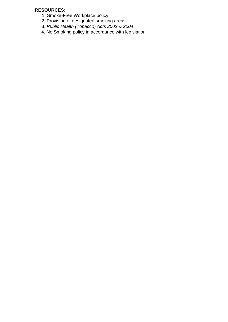- 1. Smoke-Free Workplace policy.
- 2. Provision of designated smoking areas.
- 3. *Public Health (Tobacco) Acts 2002 & 2004*.
- 4. No Smoking policy in accordance with legislation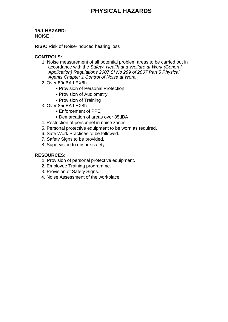# **15.1 HAZARD:**

NOISE

**RISK:** Risk of Noise-Induced hearing loss

#### **CONTROLS:**

- 1. Noise measurement of all potential problem areas to be carried out in accordance with the *Safety, Health and Welfare at Work (General Application) Regulations 2007 SI No 299 of 2007 Part 5 Physical Agents Chapter 1 Control of Noise at Work.*
- 2. Over 80dBA LEX8h
	- Provision of Personal Protection
	- Provision of Audiometry
	- Provision of Training
- 3. Over 85dBA LEX8h
	- Enforcement of PPE
	- Demarcation of areas over 85dBA
- 4. Restriction of personnel in noise zones.
- 5. Personal protective equipment to be worn as required.
- 6. Safe Work Practices to be followed.
- 7. Safety Signs to be provided.
- 8. Supervision to ensure safety.

- 1. Provision of personal protective equipment.
- 2. Employee Training programme.
- 3. Provision of Safety Signs.
- 4. Noise Assessment of the workplace.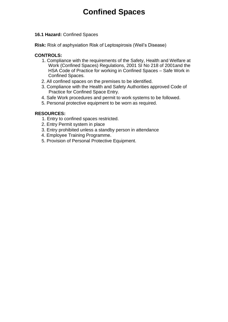# **Confined Spaces**

#### **16.1 Hazard:** Confined Spaces

**Risk:** Risk of asphyxiation Risk of Leptospirosis (Weil's Disease)

#### **CONTROLS:**

- 1. Compliance with the requirements of the Safety, Health and Welfare at Work (Confined Spaces) Regulations, 2001 SI No 218 of 2001and the HSA Code of Practice for working in Confined Spaces – Safe Work in Confined Spaces.
- 2. All confined spaces on the premises to be identified.
- 3. Compliance with the Health and Safety Authorities approved Code of Practice for Confined Space Entry.
- 4. Safe Work procedures and permit to work systems to be followed.
- 5. Personal protective equipment to be worn as required.

- 1. Entry to confined spaces restricted.
- 2. Entry Permit system in place
- 3. Entry prohibited unless a standby person in attendance
- 4. Employee Training Programme.
- 5. Provision of Personal Protective Equipment.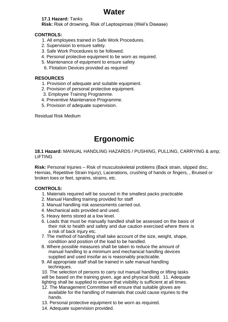# **Water**

#### **17.1 Hazard:** Tanks

**Risk:** Risk of drowning, Risk of Leptospirosis (Weil's Disease)

#### **CONTROLS:**

- 1. All employees trained in Safe Work Procedures.
- 2. Supervision to ensure safety.
- 3. Safe Work Procedures to be followed.
- 4. Personal protective equipment to be worn as required.
- 5. Maintenance of equipment to ensure safety
- 6. Flotation Devices provided as required

#### **RESOURCES**

- 1. Provision of adequate and suitable equipment.
- 2. Provision of personal protective equipment.
- 3. Employee Training Programme.
- 4. Preventive Maintenance Programme.
- 5. Provision of adequate supervision.

Residual Risk Medium

# **Ergonomic**

#### **18.1 Hazard:** MANUAL HANDLING HAZARDS / PUSHING, PULLING, CARRYING & amp; LIFTING

**Risk:** Personal Injuries – Risk of musculoskeletal problems (Back strain, slipped disc, Hernias, Repetitive Strain Injury), Lacerations, crushing of hands or fingers, , Bruised or broken toes or feet, sprains, strains, etc.

#### **CONTROLS:**

- 1. Materials required will be sourced in the smallest packs practicable
- 2. Manual Handling training provided for staff
- 3. Manual handling risk assessments carried out.
- 4. Mechanical aids provided and used.
- 5. Heavy items stored at a low level.
- 6. Loads that must be manually handled shall be assessed on the basis of their risk to health and safety and due caution exercised where there is a risk of back injury etc.
- 7. The method of handling shall take account of the size, weight, shape, condition and position of the load to be handled.
- 8. Where possible measures shall be taken to reduce the amount of manual handling to a minimum and mechanical handling devices supplied and used insofar as is reasonably practicable.
- 9. All appropriate staff shall be trained in safe manual handling techniques.

10. The selection of persons to carry out manual handling or lifting tasks will be based on the training given, age and physical build. 11. Adequate lighting shall be supplied to ensure that visibility is sufficient at all times.

- 12. The Management Committee will ensure that suitable gloves are available for the handling of materials that could cause injuries to the hands.
- 13. Personal protective equipment to be worn as required.
- 14. Adequate supervision provided.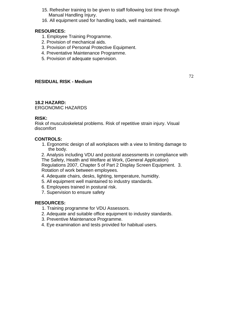- 15. Refresher training to be given to staff following lost time through Manual Handling Injury.
- 16. All equipment used for handling loads, well maintained.

#### **RESOURCES:**

- 1. Employee Training Programme.
- 2. Provision of mechanical aids.
- 3. Provision of Personal Protective Equipment.
- 4. Preventative Maintenance Programme.
- 5. Provision of adequate supervision.

#### **RESIDUAL RISK - Medium**

72

#### **18.2 HAZARD:**

ERGONOMIC HAZARDS

#### **RISK:**

Risk of musculoskeletal problems. Risk of repetitive strain injury. Visual discomfort

#### **CONTROLS:**

1. Ergonomic design of all workplaces with a view to limiting damage to the body.

2. Analysis including VDU and postural assessments in compliance with The Safety, Health and Welfare at Work, (General Application)

Regulations 2007, Chapter 5 of Part 2 Display Screen Equipment. 3. Rotation of work between employees.

- 4. Adequate chairs, desks, lighting, temperature, humidity.
- 5. All equipment well maintained to industry standards.
- 6. Employees trained in postural risk.
- 7. Supervision to ensure safety

- 1. Training programme for VDU Assessors.
- 2. Adequate and suitable office equipment to industry standards.
- 3. Preventive Maintenance Programme.
- 4. Eye examination and tests provided for habitual users.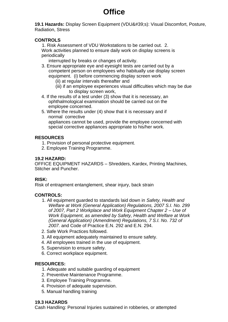# **Office**

**19.1 Hazards: Display Screen Equipment (VDU's): Visual Discomfort, Posture,** Radiation, Stress

#### **CONTROLS**

1. Risk Assessment of VDU Workstations to be carried out. 2. Work activities planned to ensure daily work on display screens is periodically

interrupted by breaks or changes of activity.

- 3. Ensure appropriate eye and eyesight tests are carried out by a competent person on employees who habitually use display screen equipment. (i) before commencing display screen work
	- (ii) at regular intervals thereafter and
	- (iii) if an employee experiences visual difficulties which may be due to display screen work,
- 4. If the results of a test under (3) show that it is necessary, an ophthalmological examination should be carried out on the employee concerned.
- 5. Where the results under (4) show that it is necessary and if normal corrective appliances cannot be used, provide the employee concerned with special corrective appliances appropriate to his/her work.

#### **RESOURCES**

- 1. Provision of personal protective equipment.
- 2. Employee Training Programme.

#### **19.2 HAZARD:**

OFFICE EQUIPMENT HAZARDS – Shredders, Kardex, Printing Machines, Stitcher and Puncher.

#### **RISK:**

Risk of entrapment entanglement, shear injury, back strain

#### **CONTROLS:**

- 1. All equipment guarded to standards laid down in *Safety, Health and Welfare at Work (General Application) Regulations, 2007 S.I. No. 299 of 2007, Part 2 Workplace and Work Equipment Chapter 2 – Use of Work Equipment, as amended by Safety, Health and Welfare at Work (General Application) (Amendment) Regulations, 7 S.I. No. 732 of 2007.* and Code of Practice E.N. 292 and E.N. 294.
- 2. Safe Work Practices followed.
- 3. All equipment adequately maintained to ensure safety.
- 4. All employees trained in the use of equipment.
- 5. Supervision to ensure safety.
- 6. Correct workplace equipment.

#### **RESOURCES:**

- 1. Adequate and suitable guarding of equipment
- 2. Preventive Maintenance Programme.
- 3. Employee Training Programme.
- 4. Provision of adequate supervision.
- 5. Manual handling training

#### **19.3 HAZARDS**

Cash Handling: Personal Injuries sustained in robberies, or attempted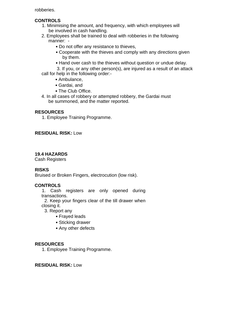robberies.

#### **CONTROLS**

- 1. Minimising the amount, and frequency, with which employees will be involved in cash handling.
- 2. Employees shall be trained to deal with robberies in the following manner: -
	- Do not offer any resistance to thieves,
	- Cooperate with the thieves and comply with any directions given by them.
	- Hand over cash to the thieves without question or undue delay.

3. If you, or any other person(s), are injured as a result of an attack call for help in the following order:-

- Ambulance,
- Gardai, and
- The Club Office.
- 4. In all cases of robbery or attempted robbery, the Gardai must be summoned, and the matter reported.

#### **RESOURCES**

1. Employee Training Programme.

#### **RESIDUAL RISK:** Low

#### **19.4 HAZARDS**

Cash Registers

#### **RISKS**

Bruised or Broken Fingers, electrocution (low risk).

#### **CONTROLS**

1. Cash registers are only opened during transactions.

 2. Keep your fingers clear of the till drawer when closing it.

- 3. Report any
	- Frayed leads
	- Sticking drawer
	- Any other defects

#### **RESOURCES**

1. Employee Training Programme.

#### **RESIDUAL RISK:** Low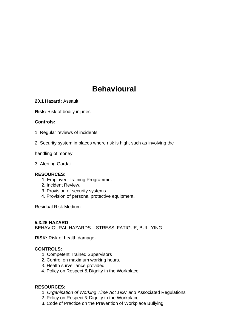# **Behavioural**

**20.1 Hazard:** Assault

**Risk:** Risk of bodily injuries

#### **Controls:**

- 1. Regular reviews of incidents.
- 2. Security system in places where risk is high, such as involving the

handling of money.

3. Alerting Gardai

#### **RESOURCES:**

- 1. Employee Training Programme.
- 2. Incident Review.
- 3. Provision of security systems.
- 4. Provision of personal protective equipment.

Residual Risk Medium

#### **5.3.26 HAZARD:**

BEHAVIOURAL HAZARDS – STRESS, FATIGUE, BULLYING.

**RISK:** Risk of health damage**.** 

#### **CONTROLS:**

- 1. Competent Trained Supervisors
- 2. Control on maximum working hours.
- 3. Health surveillance provided.
- 4. Policy on Respect & Dignity in the Workplace.

- 1. *Organisation of Working Time Act 1997 and* Associated Regulations
- 2. Policy on Respect & Dignity in the Workplace.
- 3. Code of Practice on the Prevention of Workplace Bullying